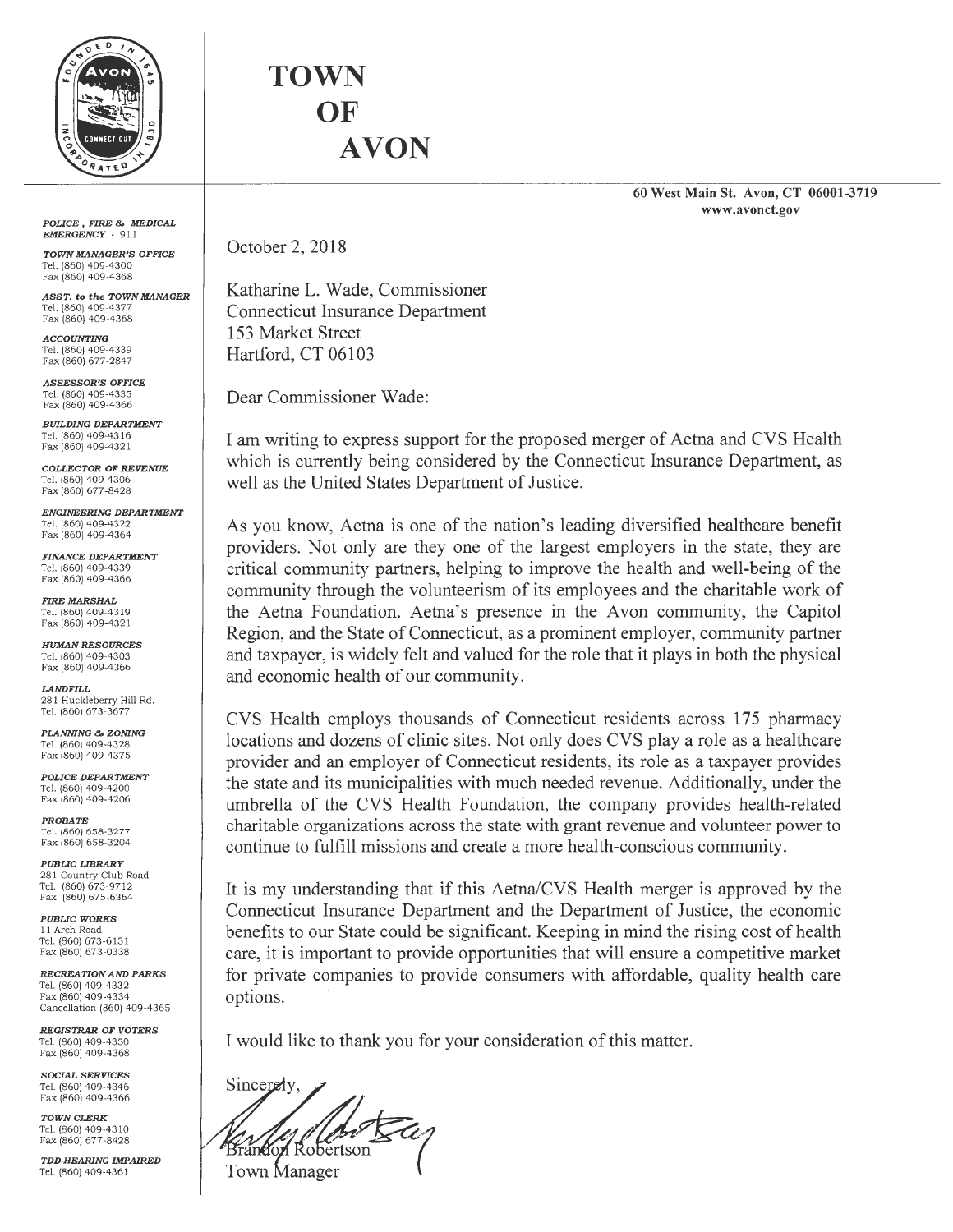

*POLICE* , *FIRE* & *MEDICAL EMERGENCY* - 911

*TOWN MANAGER'S OFFICE*  Tel. (860) 409-4300 Fax (860) 409-4368

*ASST.* **to** *the TOWN MANAGER*  Tel. (860) 409-4377 Fax (860) 409-4368

*ACCOUNTING*  Tel. (860) 409-4339 Fax (860) 677-2847

*ASSESSOR'S OFFICE*  Tel. (860) 409-4335 Fax (860) 409-4366

*BUILDING DEPARTMENT*  Tel. (860) 409-4316 Fax (860) 409-4321

*COLLECTOR OF REVENUE*  Tel. (860) 409-4306 Fax (860) 677-8428

*ENGINEERING DEPARTMENT*  Tel. (860) 409-4322 Fax (860) 409-4364

*FINANCE DEPARTMENT*  Tel. (860) 409-4339 Fax (860) 409-4366

*FIRE MARSHAL*  Tel. (860) 409-43 19 Fax (860) 409-4321

*HUMAN RESOURCES*  Tel. (860) 409-4303 Fax (860) 409-4366

*LANDFILL*  281 Huckleberry Hill Rd . Tel. (860) 673-3677

*PLANNING* & *ZONING*  Tel. (860) 409-4328 Fax (860) 409-4375

*POLICE DEPARTMENT*  Tel. (860) 409-4200 Fax (860) 409-4206

*PROBATE*  Tel. (860) 658-3277 Fax (860) 658-3204

*PUBLIC LIBRARY*  281 Country Club Road Tel. (860) 673-9712 Fax (860) 675-6364

*PUBLIC WORKS*  11 Arch Road Tel. (860) 673-615 1 Fax (860) 673-0338

*RECREATION AND PARKS*  Tel. (860) 409-4332 Fax (860) 409-4334 Cancellation (860) 409-4365

*REGISTRAR OF VOTERS*  Tel. (860) 409-4350 Fax (860) 409-4368

*SOCIAL SERVICES*  Tel. (860) 409-4346 Fax (860) 409-4366

*TOWNCLERK*  Tel. (860) 409-4310 Fax (860) 677-8428

*TDD-HEARING IMPAIRED*  Tel. (860) 409-436 1

**TOWN OF AVON** 

> **60 West Main St. Avon, CT 06001-3719 www.avonct.gov**

October 2, 2018

Katharine L. Wade, Commissioner Connecticut Insurance Department 153 Market Street Hartford, CT 06103

Dear Commissioner Wade:

I am writing to express support for the proposed merger of Aetna and CVS Health which is currently being considered by the Connecticut Insurance Department, as well as the United States Department of Justice.

As you know, Aetna is one of the nation's leading diversified healthcare benefit providers. Not only are they one of the largest employers in the state, they are critical community partners, helping to improve the health and well-being of the community through the volunteerism of its employees and the charitable work of the Aetna Foundation. Aetna's presence in the Avon community, the Capitol Region, and the State of Connecticut, as a prominent employer, community partner and taxpayer, is widely felt and valued for the role that it plays in both the physical and economic health of our community.

CVS Health employs thousands of Connecticut residents across 175 pharmacy locations and dozens of clinic sites. Not only does CVS play a role as a healthcare provider and an employer of Connecticut residents, its role as a taxpayer provides the state and its municipalities with much needed revenue. Additionally, under the umbrella of the CVS Health Foundation, the company provides health-related charitable organizations across the state with grant revenue and volunteer power to continue to fulfill missions and create a more health-conscious community.

It is my understanding that if this Aetna/CVS Health merger is approved by the Connecticut Insurance Department and the Department of Justice, the economic benefits to our State could be significant. Keeping in mind the rising cost of health care, it is important to provide opportunities that will ensure a competitive market for private companies to provide consumers with affordable, quality health care options.

I would like to thank you for your consideration of this matter.

Sincerely, Town Manager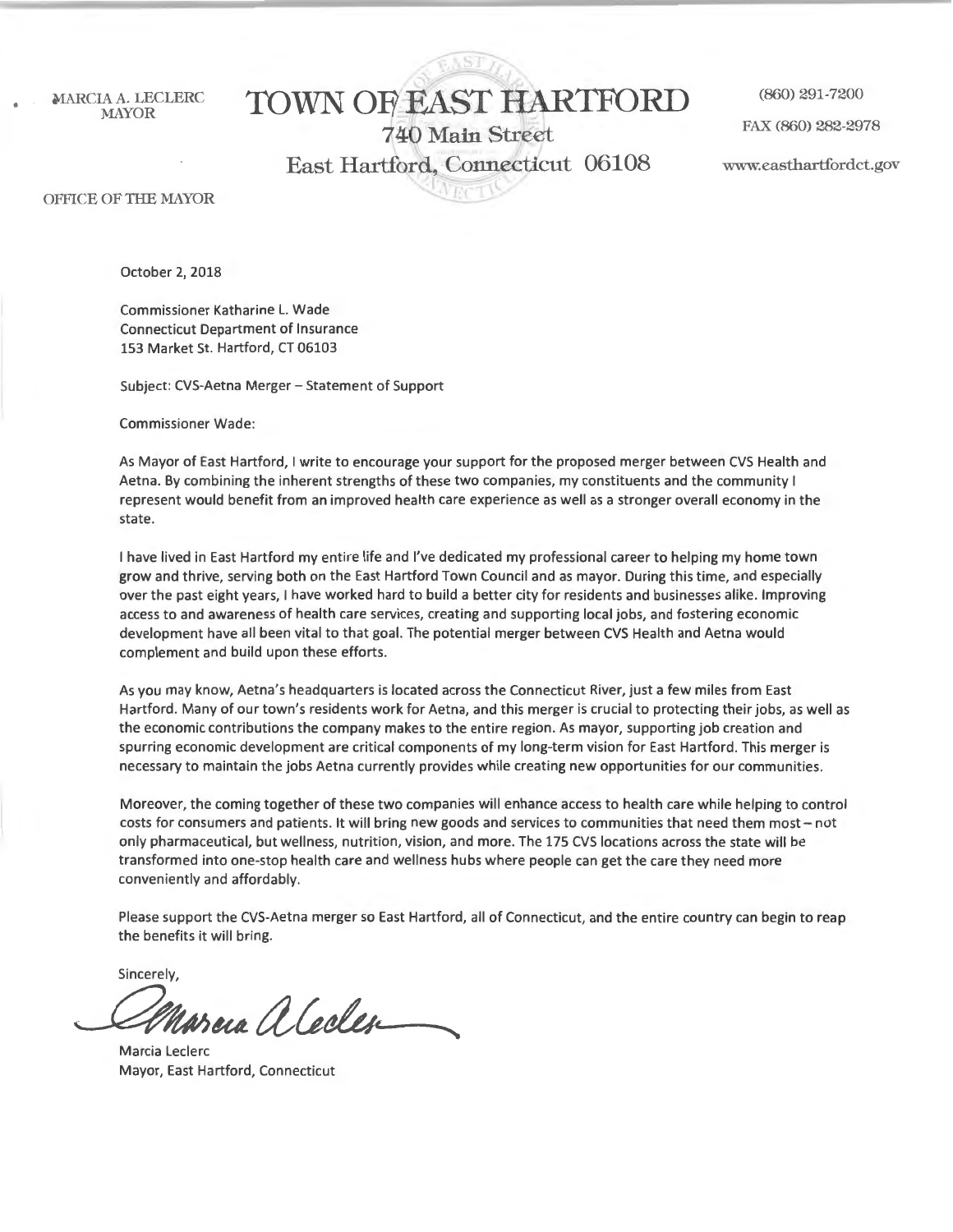# MARCIA A. LECLERC (TOWN OF EAST HARTFORD (860) 291-7200

FAX (860) 282-2978 740 Main Street East Hartford, Connecticut 06108 www.easthartfordct.gov I

OFFICE OF THE MAYOR

October 2, 2018

Commissioner Katharine L. Wade Connecticut Department of Insurance 153 Market St. Hartford, CT 06103

Subject: CVS-Aetna Merger - Statement of Support

Commissioner Wade:

As Mayor of East Hartford, I write to encourage your support for the proposed merger between CVS Health and Aetna. By combining the inherent strengths of these two companies, my constituents and the community I represent would benefit from an improved health care experience as well as a stronger overall economy in the state.

I have lived in East Hartford my entire life and I've dedicated my professional career to helping my home town grow and thrive, serving both on the East Hartford Town Council and as mayor. During this time, and especially over the past eight years, I have worked hard to build a better city for residents and businesses alike. Improving access to and awareness of health care services, creating and supporting local jobs, and fostering economic development have all been vital to that goal. The potential merger between CVS Health and Aetna would complement and build upon these efforts.

As you may know, Aetna's headquarters is located across the Connecticut River, just a few miles from East Hartford. Many of our town's residents work for Aetna, and this merger is crucial to protecting their jobs, as well as the economic contributions the company makes to the entire region. As mayor, supporting job creation and spurring economic development are critical components of my long-term vision for East Hartford. This merger is necessary to maintain the jobs Aetna currently provides while creating new opportunities for our communities.

Moreover, the coming together of these two companies will enhance access to health care while helping to control costs for consumers and patients. It will bring new goods and services to communities that need them most - not only pharmaceutical, but wellness, nutrition, vision, and more. The 175 CVS locations across the state will be transformed into one-stop health care and wellness hubs where people can get the care they need more conveniently and affordably.

Please support the CVS-Aetna merger so East Hartford, all of Connecticut, and the entire country can begin to reap the benefits it will bring.

Sincerely,

*~tudUda.\_~~* 

Marcia Leclerc Mayor, East Hartford, Connecticut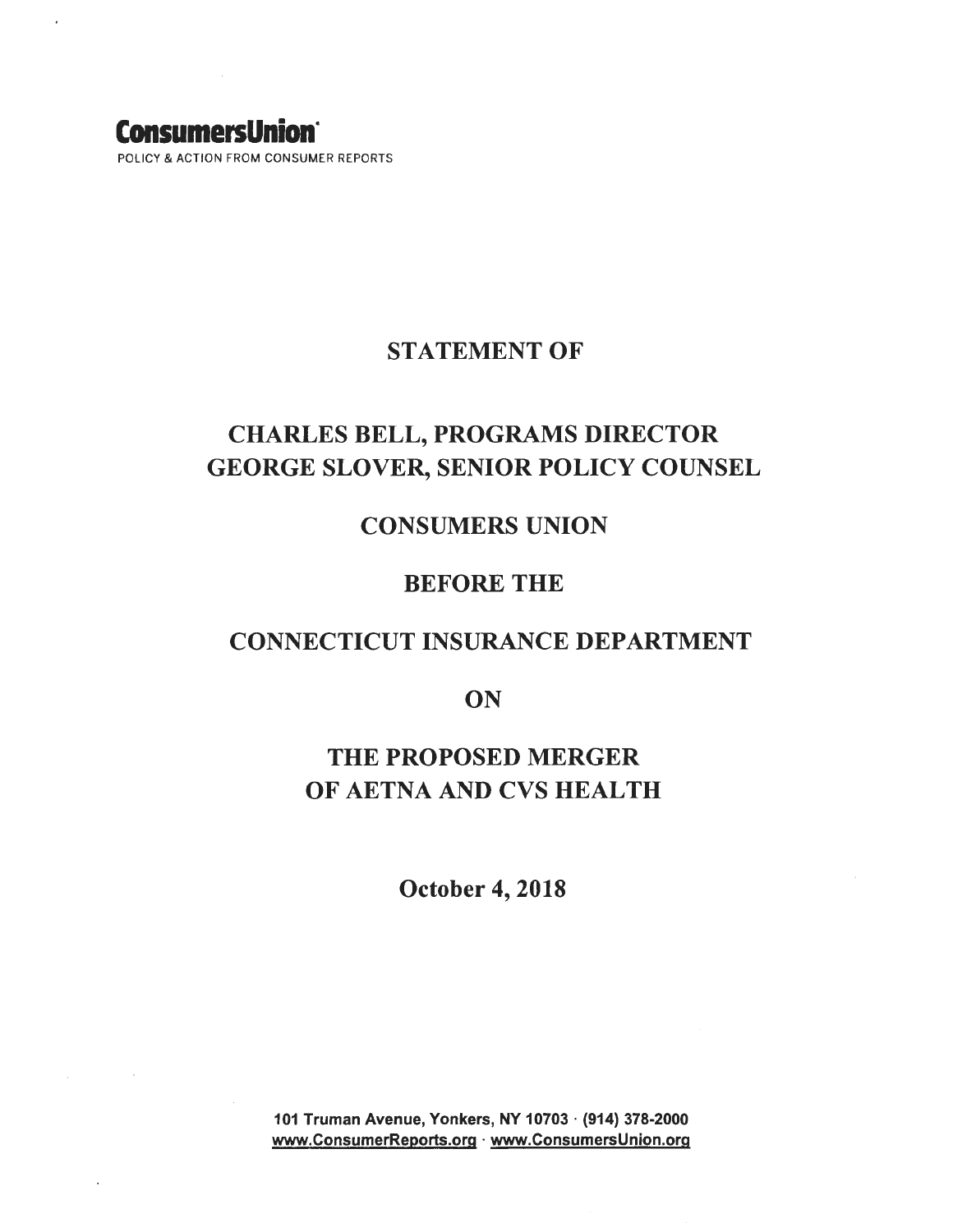## **ConsumersUnion·**

POLICY & ACTION FROM CONSUMER REPORTS

### STATEMENT OF

## CHARLES BELL, PROGRAMS DIRECTOR GEORGE SLOVER, SENIOR POLICY COUNSEL

## CONSUMERS UNION

## BEFORE THE

## CONNECTICUT INSURANCE DEPARTMENT

**ON** 

## THE PROPOSED MERGER OF AETNA AND CVS HEALTH

October 4, 2018

101 Truman Avenue, Yonkers, NY 10703 · (914) 378-2000 www.ConsumerReports.org · www.ConsumersUnion.org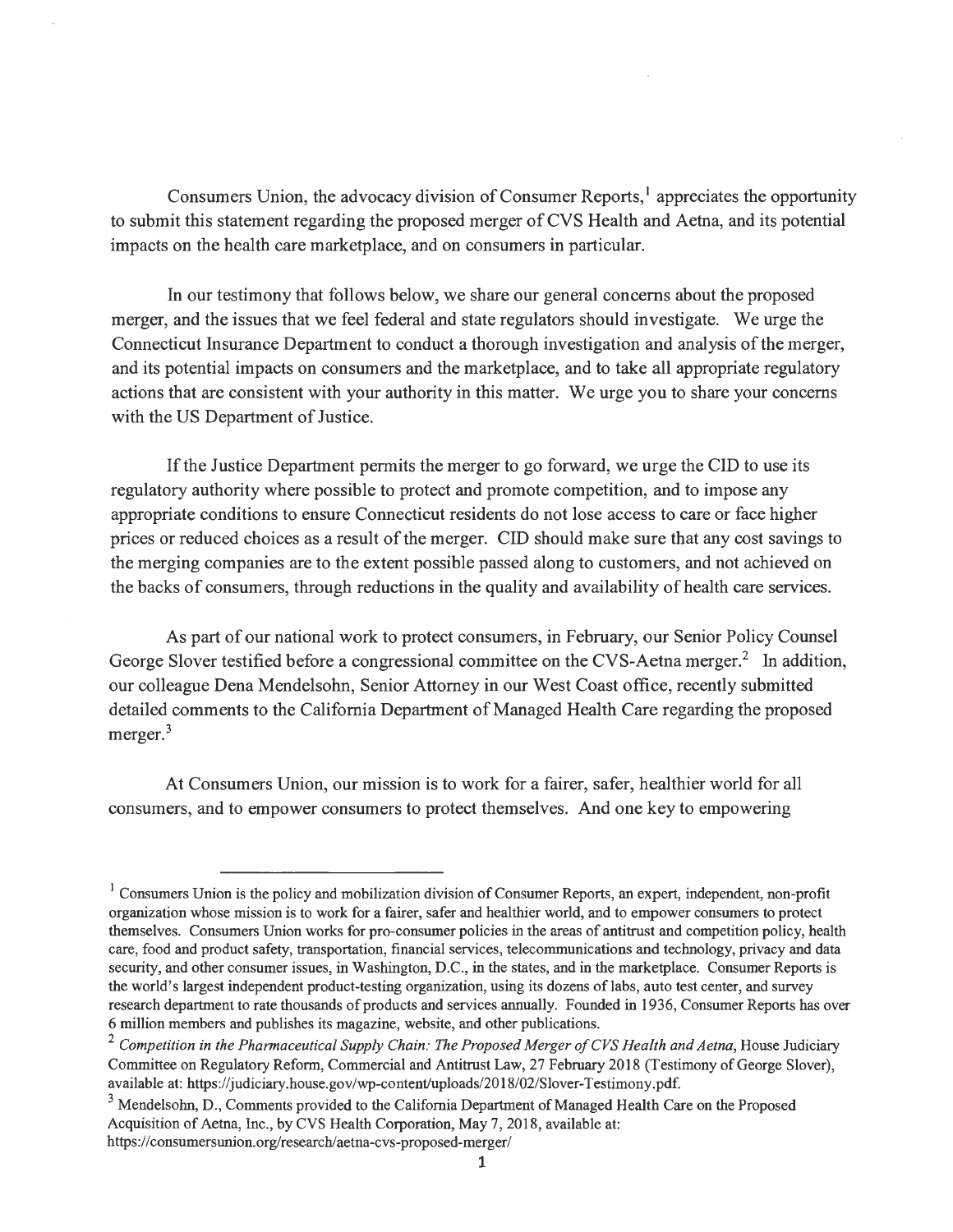Consumers Union, the advocacy division of Consumer Reports,<sup>1</sup> appreciates the opportunity to submit this statement regarding the proposed merger of CVS Health and Aetna, and its potential impacts on the health care marketplace, and on consumers in particular.

In our testimony that follows below, we share our general concerns about the proposed merger, and the issues that we feel federal and state regulators should investigate. We urge the Connecticut Insurance Department to conduct a thorough investigation and analysis of the merger, and its potential impacts on consumers and the marketplace, and to take all appropriate regulatory actions that are consistent with your authority in this matter. We urge you to share your concerns with the US Department of Justice.

If the Justice Department permits the merger to go forward, we urge the CID to use its regulatory authority where possible to protect and promote competition, and to impose any appropriate conditions to ensure Connecticut residents do not lose access to care or face higher prices or reduced choices as a result of the merger. CID should make sure that any cost savings to the merging companies are to the extent possible passed along to customers, and not achieved on the backs of consumers, through reductions in the quality and availability of health care services.

As part of our national work to protect consumers, in February, our Senior Policy Counsel George Slover testified before a congressional committee on the CVS-Aetna merger.<sup>2</sup> In addition, our colleague Dena Mendelsohn, Senior Attorney in our West Coast office, recently submitted detailed comments to the California Department of Managed Health Care regarding the proposed merger.<sup>3</sup>

At Consumers Union, our mission is to work for a fairer, safer, healthier world for all consumers, and to empower consumers to protect themselves. And one key to empowering

 $<sup>1</sup>$  Consumers Union is the policy and mobilization division of Consumer Reports, an expert, independent, non-profit</sup> organization whose mission is to work for a fairer, safer and healthier world, and to empower consumers to protect themselves. Consumers Union works for pro-consumer policies in the areas of antitrust and competition policy, health care, food and product safety, transportation, financial services, telecommunications and technology, privacy and data security, and other consumer issues, in Washington, D.C., in the states, and in the marketplace. Consumer Reports is the world's largest independent product-testing organization, using its dozens oflabs, auto test center, and survey research department to rate thousands of products and services annually. Founded in 1936, Consumer Reports has over 6 million members and publishes its magazine, website, and other publications.

<sup>&</sup>lt;sup>2</sup> Competition in the Pharmaceutical Supply Chain: The Proposed Merger of CVS Health and Aetna, House Judiciary Committee on Regulatory Reform, Commercial and Antitrust Law, 27 February 2018 (Testimony of George Slover), available at: https://judiciary.house.gov/wp-content/uploads/2018/02/Slover-Testimony.pdf.

 $3$  Mendelsohn, D., Comments provided to the California Department of Managed Health Care on the Proposed Acquisition of Aetna, Inc., by CVS Health Corporation, May 7, 2018, available at: https://consumersunion.org/research/aetna-cvs-proposed-merger/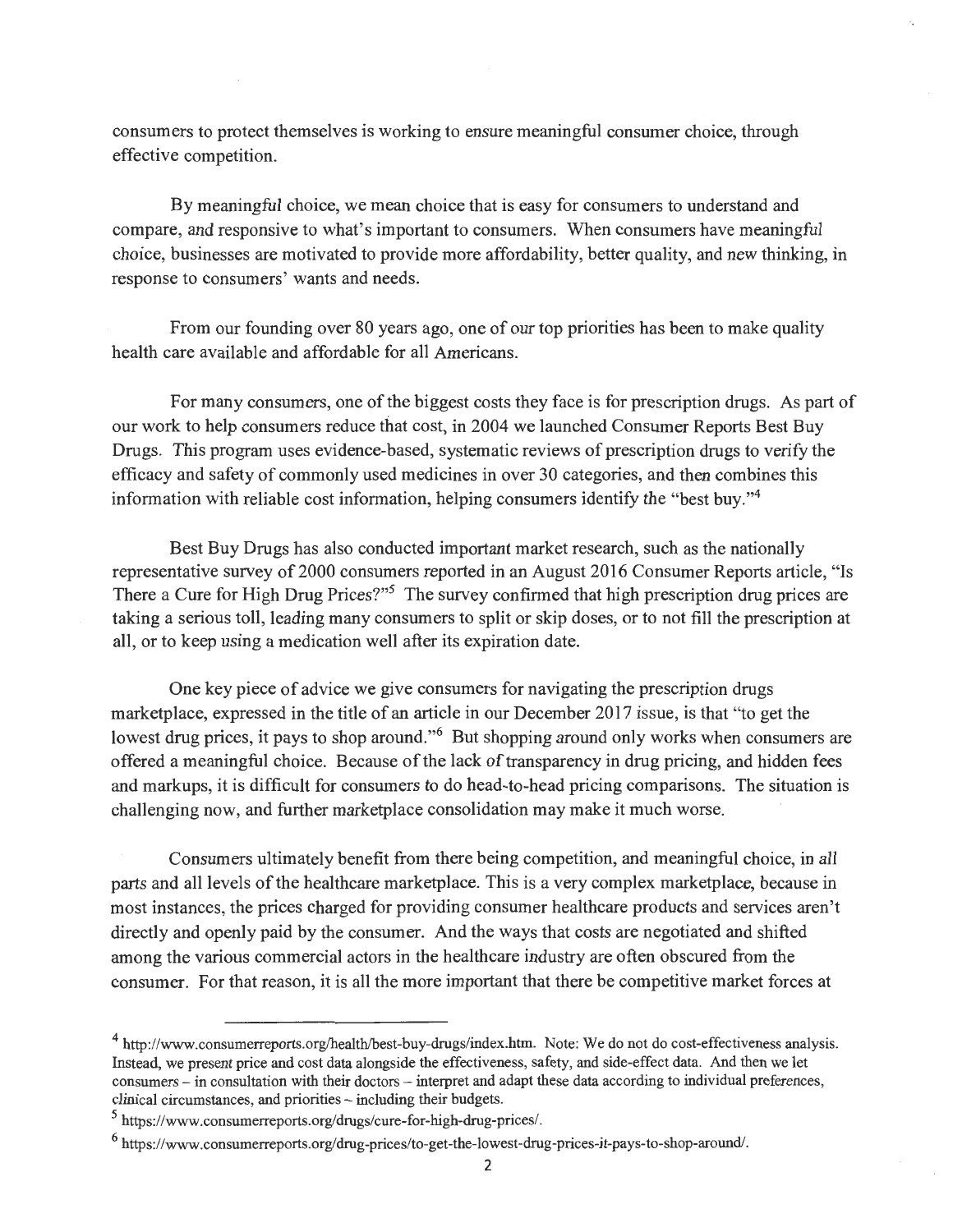consumers to protect themselves is working to ensure meaningful consumer choice, through effective competition.

By meaningful choice, we mean choice that is easy for consumers to understand and compare, and responsive to what's important to consumers. When consumers have meaningful choice, businesses are motivated to provide more affordability, better quality, and new thinking, in response to consumers' wants and needs.

From our founding over 80 years ago, one of our top priorities has been to make quality health care available and affordable for all Americans.

For many consumers, one of the biggest costs they face is for prescription drugs. As part of our work to help consumers reduce that cost, in 2004 we launched Consumer Reports Best Buy Drugs. This program uses evidence-based, systematic reviews of prescription drugs to verify the efficacy and safety of commonly used medicines in over 30 categories, and then combines this information with reliable cost information, helping consumers identify the "best buy."<sup>4</sup>

Best Buy Drugs has also conducted important market research, such as the nationally representative survey of 2000 consumers reported in an August 2016 Consumer Reports article, "Is There a Cure for High Drug Prices?"<sup>5</sup> The survey confirmed that high prescription drug prices are taking a serious toll, leading many consumers to split or skip doses, or to not fill the prescription at all, or to keep using a medication well after its expiration date.

One key piece of advice we give consumers for navigating the prescription drugs marketplace, expressed in the title of an article in our December 2017 issue, is that "to get the lowest drug prices, it pays to shop around."<sup>6</sup> But shopping around only works when consumers are offered a meaningful choice. Because of the lack of transparency in drug pricing, and hidden fees and markups, it is difficult for consumers to do head-to-head pricing comparisons. The situation is challenging now, and further marketplace consolidation may make it much worse.

Consumers ultimately benefit from there being competition, and meaningful choice, in all parts and all levels of the healthcare marketplace. This is a very complex marketplace, because in most instances, the prices charged for providing consumer healthcare products and services aren't directly and openly paid by the consumer. And the ways that costs are negotiated and shifted among the various commercial actors in the healthcare industry are often obscured from the consumer. For that reason, it is all the more important that there be competitive market forces at

<sup>4</sup>http://www.consumerreports.org/health/best-buy-drugs/index.htm. Note: We do not do cost-effectiveness analysis. Instead, we present price and cost data alongside the effectiveness, safety, and side-effect data. And then we let consumers - in consultation with their doctors - interpret and adapt these data according to individual preferences, clinical circumstances, and priorities - including their budgets.

*<sup>5</sup>*https://www.consumerreports.org/drugs/cure-for-high-drug-prices/.

<sup>6</sup> https://www.consumerreports.org/ drug-prices/to-get-the-lowest-drug-prices-it-pays-to-shop-around/.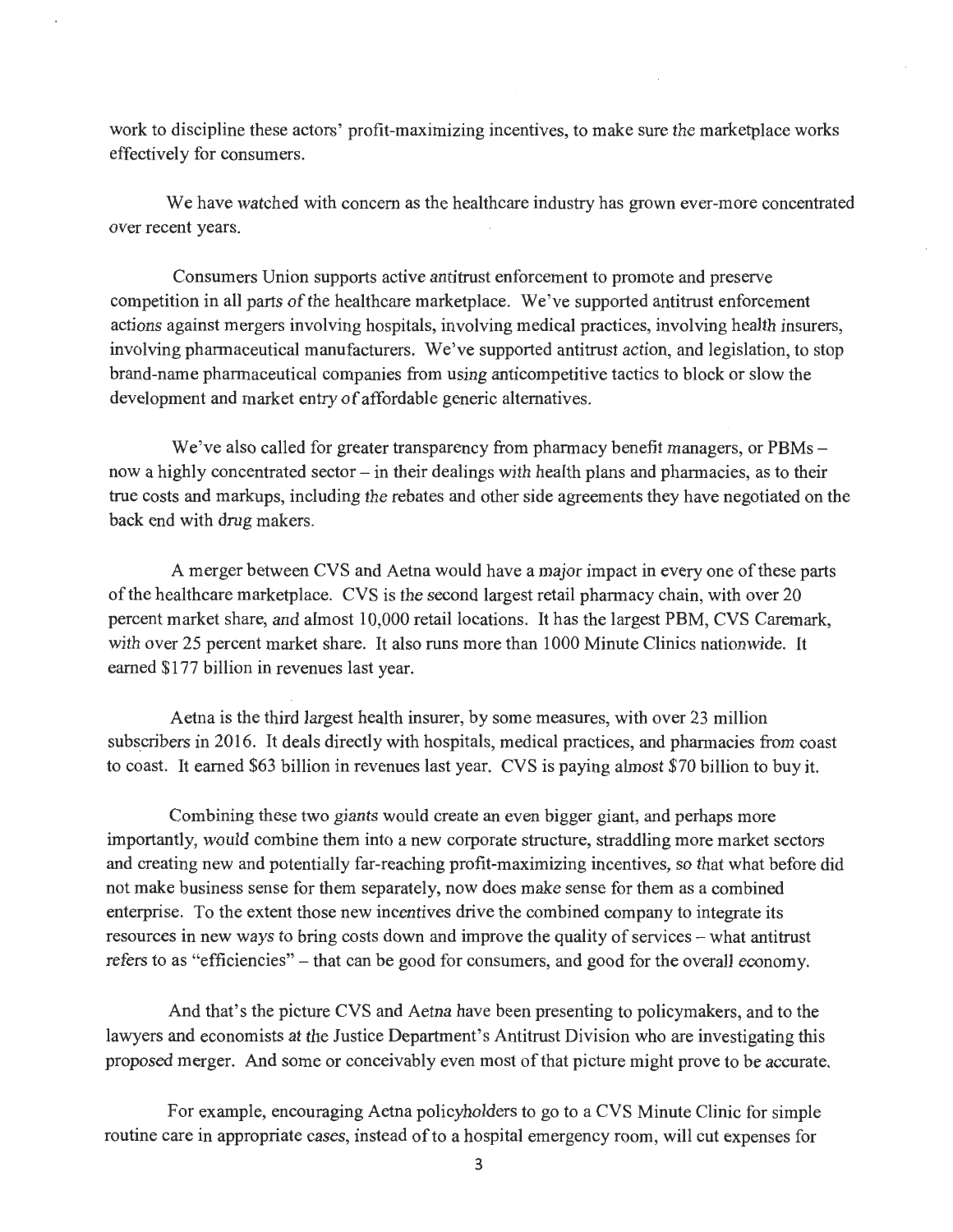work to discipline these actors' profit-maximizing incentives, to make sure the marketplace works effectively for consumers.

We have watched with concern as the healthcare industry has grown ever-more concentrated over recent years.

Consumers Union supports active antitrust enforcement to promote and preserve competition in all parts of the healthcare marketplace. We've supported antitrust enforcement actions against mergers involving hospitals, involving medical practices, involving health insurers, involving pharmaceutical manufacturers. We've supported antitrust action, and legislation, to stop brand-name pharmaceutical companies from using anticompetitive tactics to block or slow the development and market entry of affordable generic alternatives.

We've also called for greater transparency from pharmacy benefit managers, or PBMs – now a highly concentrated sector – in their dealings with health plans and pharmacies, as to their true costs and markups, including the rebates and other side agreements they have negotiated on the back end with drug makers.

A merger between CVS and Aetna would have a major impact in every one of these parts of the healthcare marketplace. CVS is the second largest retail pharmacy chain, with over 20 percent market share, and almost 10,000 retail locations. It has the largest PBM, CVS Caremark, with over 25 percent market share. It also runs more than 1000 Minute Clinics nationwide. It earned \$177 billion in revenues last year.

Aetna is the third largest health insurer, by some measures, with over 23 million subscribers in 2016. It deals directly with hospitals, medical practices, and pharmacies from coast to coast. It earned \$63 billion in revenues last year. CVS is paying almost \$70 billion to buy it.

Combining these two giants would create an even bigger giant, and perhaps more importantly, would combine them into a new corporate structure, straddling more market sectors and creating new and potentially far-reaching profit-maximizing incentives, so that what before did not make business sense for them separately, now does make sense for them as a combined enterprise. To the extent those new incentives drive the combined company to integrate its resources in new ways to bring costs down and improve the quality of services – what antitrust refers to as "efficiencies" - that can be good for consumers, and good for the overall economy.

And that's the picture CVS and Aetna have been presenting to policymakers, and to the lawyers and economists at the Justice Department's Antitrust Division who are investigating this proposed merger. And some or conceivably even most of that picture might prove to be accurate.

For example, encouraging Aetna policyholders to go to a CVS Minute Clinic for simple routine care in appropriate cases, instead of to a hospital emergency room, will cut expenses for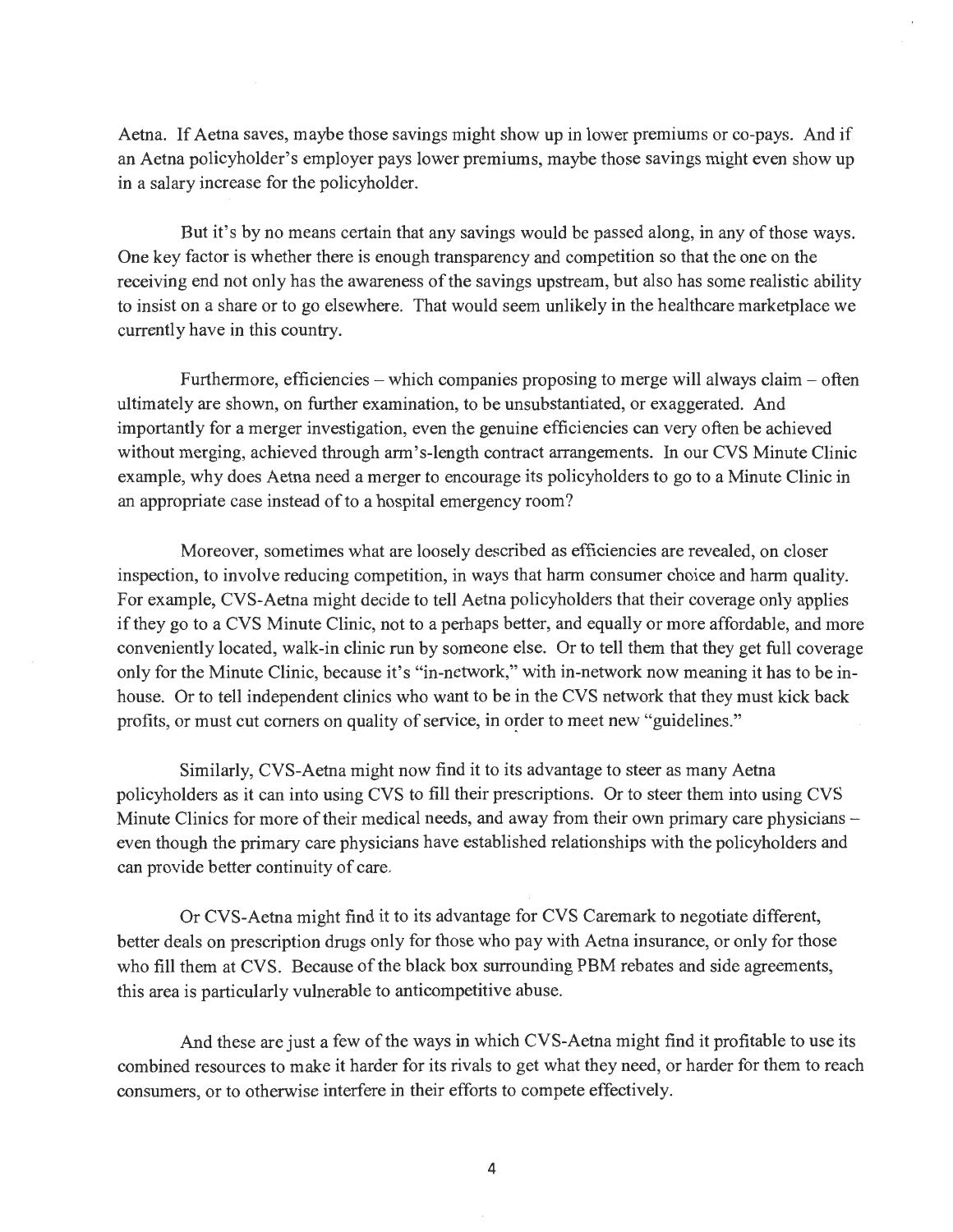Aetna. If Aetna saves, maybe those savings might show up in lower premiums or co-pays. And if an Aetna policyholder's employer pays lower premiums, maybe those savings might even show up in a salary increase for the policyholder.

But it's by no means certain that any savings would be passed along, in any of those ways. One key factor is whether there is enough transparency and competition so that the one on the receiving end not only has the awareness of the savings upstream, but also has some realistic ability to insist on a share or to go elsewhere. That would seem unlikely in the healthcare marketplace we currently have in this country.

Furthermore, efficiencies – which companies proposing to merge will always claim – often ultimately are shown, on further examination, to be unsubstantiated, or exaggerated. And importantly for a merger investigation, even the genuine efficiencies can very often be achieved without merging, achieved through arm's-length contract arrangements. In our CVS Minute Clinic example, why does Aetna need a merger to encourage its policyholders to go to a Minute Clinic in an appropriate case instead of to a hospital emergency room?

Moreover, sometimes what are loosely described as efficiencies are revealed, on closer inspection, to involve reducing competition, in ways that harm consumer choice and harm quality. For example, CVS-Aetna might decide to tell Aetna policyholders that their coverage only applies if they go to a CVS Minute Clinic, not to a perhaps better, and equally or more affordable, and more conveniently located, walk-in clinic run by someone else. Or to tell them that they get full coverage only for the Minute Clinic, because it's "in-network," with in-network now meaning it has to be inhouse. Or to tell independent clinics who want to be in the CVS network that they must kick back profits, or must cut corners on quality of service, in order to meet new "guidelines."

Similarly, CVS-Aetna might now find it to its advantage to steer as many Aetna policyholders as it can into using CVS to fill their prescriptions. Or to steer them into using CVS Minute Clinics for more of their medical needs, and away from their own primary care physicians  $$ even though the primary care physicians have established relationships with the policyholders and can provide better continuity of care.

Or CVS-Aetna might find it to its advantage for CVS Caremark to negotiate different, better deals on prescription drugs only for those who pay with Aetna insurance, or only for those who fill them at CVS. Because of the black box surrounding PBM rebates and side agreements, this area is particularly vulnerable to anticompetitive abuse.

And these are just a few of the ways in which CVS-Aetna might find it profitable to use its combined resources to make it harder for its rivals to get what they need, or harder for them to reach consumers, or to otherwise interfere in their efforts to compete effectively.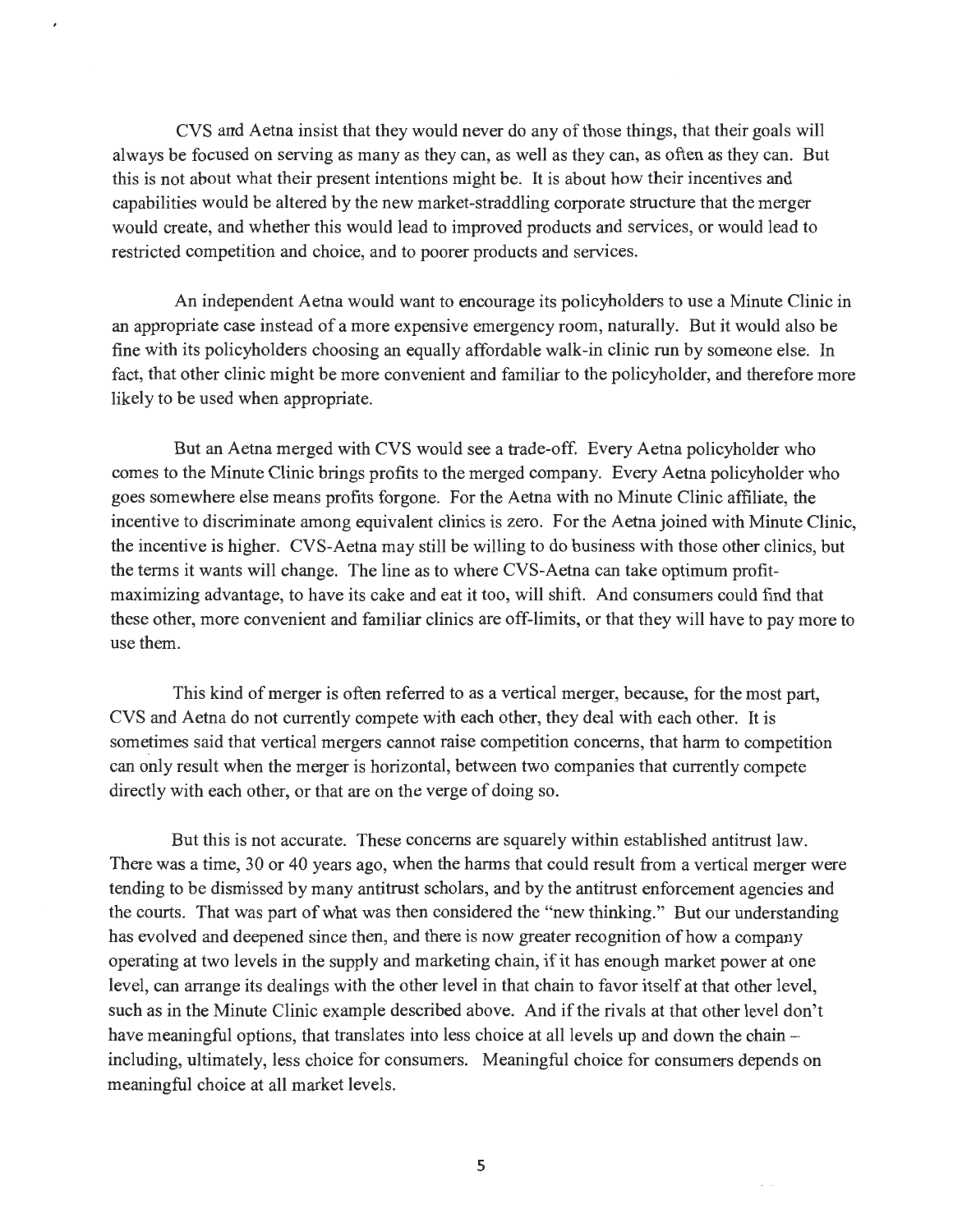CVS and Aetna insist that they would never do any of those things, that their goals will always be focused on serving as many as they can, as well as they can, as often as they can. But this is not about what their present intentions might be. It is about how their incentives and capabilities would be altered by the new market-straddling corporate structure that the merger would create, and whether this would lead to improved products and services, or would lead to restricted competition and choice, and to poorer products and services.

An independent Aetna would want to encourage its policyholders to use a Minute Clinic in an appropriate case instead of a more expensive emergency room, naturally. But it would also be fine with its policyholders choosing an equally affordable walk-in clinic run by someone else. In fact, that other clinic might be more convenient and familiar to the policyholder, and therefore more likely to be used when appropriate.

But an Aetna merged with CVS would see a trade-off. Every Aetna policyholder who comes to the Minute Clinic brings profits to the merged company. Every Aetna policyholder who goes somewhere else means profits forgone. For the Aetna with no Minute Clinic affiliate, the incentive to discriminate among equivalent clinics is zero. For the Aetna joined with Minute Clinic, the incentive is higher. CVS-Aetna may still be willing to do business with those other clinics, but the terms it wants will change. The line as to where CVS-Aetna can take optimum profitmaximizing advantage, to have its cake and eat it too, will shift. And consumers could find that these other, more convenient and familiar clinics are off-limits, or that they will have to pay more to use them.

This kind of merger is often referred to as a vertical merger, because, for the most part, CVS and Aetna do not currently compete with each other, they deal with each other. It is sometimes said that vertical mergers cannot raise competition concerns, that harm to competition can only result when the merger is horizontal, between two companies that currently compete directly with each other, or that are on the verge of doing so.

But this is not accurate. These concerns are squarely within established antitrust law. There was a time, 30 or 40 years ago, when the harms that could result from a vertical merger were tending to be dismissed by many antitrust scholars, and by the antitrust enforcement agencies and the courts. That was part of what was then considered the "new thinking." But our understanding has evolved and deepened since then, and there is now greater recognition of how a company operating at two levels in the supply and marketing chain, if it has enough market power at one level, can arrange its dealings with the other level in that chain to favor itself at that other level, such as in the Minute Clinic example described above. And if the rivals at that other level don't have meaningful options, that translates into less choice at all levels up and down the chain including, ultimately, less choice for consumers. Meaningful choice for consumers depends on meaningful choice at all market levels.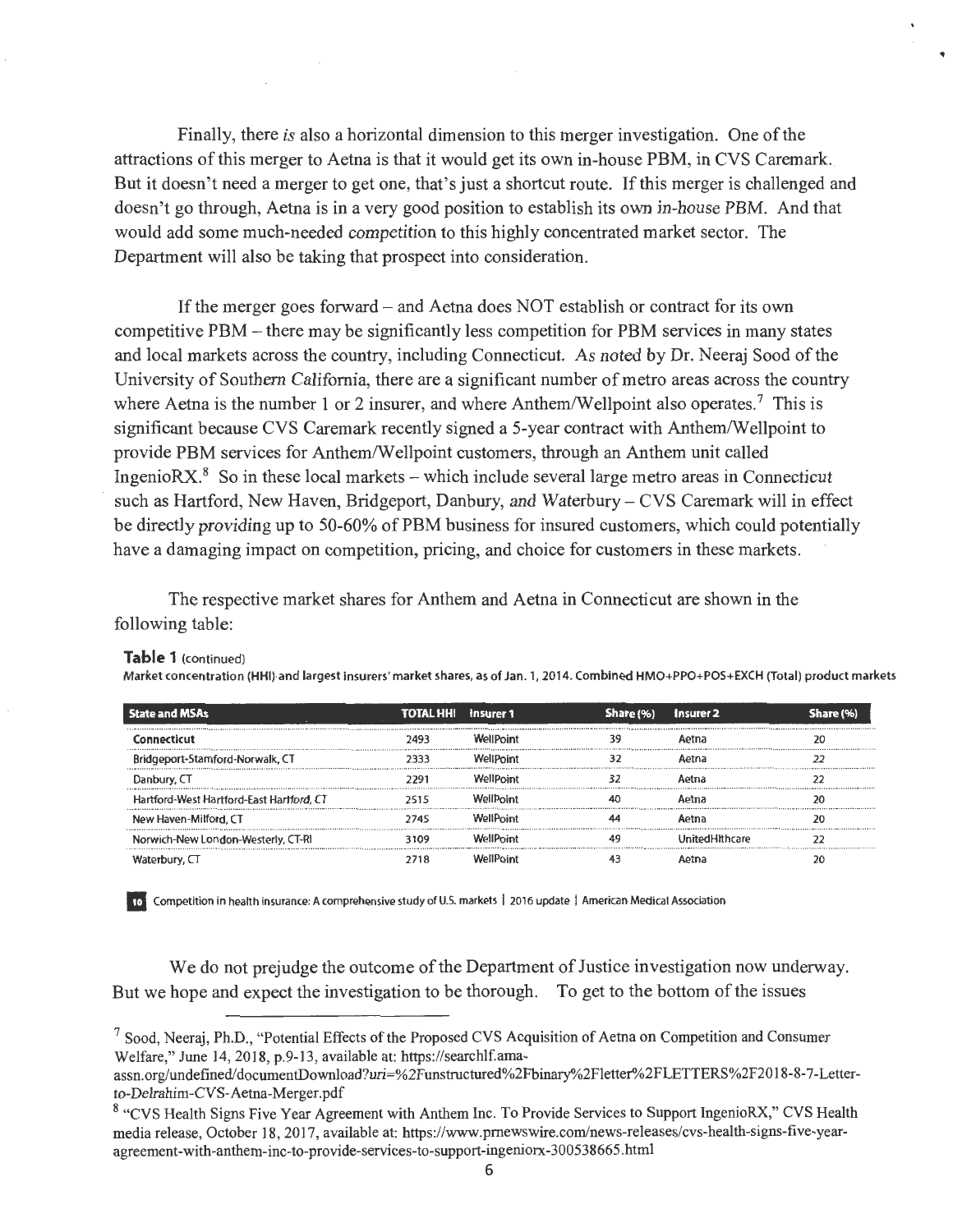Finally, there *is* also a horizontal dimension to this merger investigation. One of the attractions ofthis merger to Aetna is that it would get its own in-house PBM, in CVS Caremark. But it doesn't need a merger to get one, that's just a shortcut route. If this merger is challenged and doesn't go through, Aetna is in a very good position to establish its own in-house PBM. And that would add some much-needed competition to this highly concentrated market sector. The Department will also be taking that prospect into consideration.

~·

If the merger goes forward – and Aetna does NOT establish or contract for its own competitive PBM - there may be significantly less competition for PBM services in many states and local markets across the country, including Connecticut. As noted by Dr. Neeraj Sood of the University of Southern California, there are a significant number of metro areas across the country where Aetna is the number 1 or 2 insurer, and where Anthem/Wellpoint also operates.<sup>7</sup> This is significant because CVS Caremark recently signed a 5-year contract with Anthem/Wellpoint to provide PBM services for Anthem/Wellpoint customers, through an Anthem unit called IngenioR $X^8$ . So in these local markets - which include several large metro areas in Connecticut such as Hartford, New Haven, Bridgeport, Danbury, and Waterbury- CVS Caremark will in effect be directly providing up to 50-60% of PBM business for insured customers, which could potentially have a damaging impact on competition, pricing, and choice for customers in these markets.

The respective market shares for Anthem and Aetna in Connecticut are shown in the following table:

| <b>State and MSAs</b>                    | <b>TOTAL HHI</b> Insurer 1 |                  | Share (%) | Insurer 2      |  |
|------------------------------------------|----------------------------|------------------|-----------|----------------|--|
| Connecticut                              |                            | <b>WellPoint</b> |           | Aotna          |  |
| Bridgeport-Stamford-Norwalk, CT          |                            | W≏llPnint        |           | Aetna          |  |
| Danbury, CT                              | 7791                       | <b>WellPoint</b> |           | Aetna          |  |
| Hartford-West Hartford-East Hartford, CT |                            | WallPnint        |           | Aetna          |  |
| New Haven-Milford, CT                    | 2745                       | WallPnint        |           | Aetna          |  |
| Norwich-New London-Westerly, CT-RI       | 3109                       | WellPoint        |           | UnitedHithcare |  |
| Waterbury, $\Box$                        |                            | MailPaint        |           |                |  |

#### **Table 1** (continued)

Market concentration (HHl)-and largest insurers' market shares, as of Jan. 1, 2014. Combined HMO+PPQ+POS+EXCH (Total) product markets

**mo** Competition in health insurance: A comprehensive study of U.S. markets | 2016 update | American Medical Association

We do not prejudge the outcome of the Department of Justice investigation now underway. But we hope and expect the investigation to be thorough. To get to the bottom of the issues

<sup>&</sup>lt;sup>7</sup> Sood, Neeraj, Ph.D., "Potential Effects of the Proposed CVS Acquisition of Aetna on Competition and Consumer Welfare," June 14, 2018, p.9-13, available at: https://searchlf.ama-

assn. org/undefined/ documentDownload?uri=%2Funstructured%2Fbinary°/o2Fletter°/o2FLETTERS %2F2018-8-7-Letterto-Delrahim-CVS-Aetna-Merger. pdf

<sup>8 &</sup>quot;CVS Health Signs Five Year Agreement with Anthem Inc. To Provide Services to Support IngenioRX," CVS Health media release, October 18, 2017, available at: https://www.prnewswire.com/news-releases/cvs-health-signs-five-yearagreement-with-anthem-inc-to-provide-services-to-support-ingeniorx-300538665.html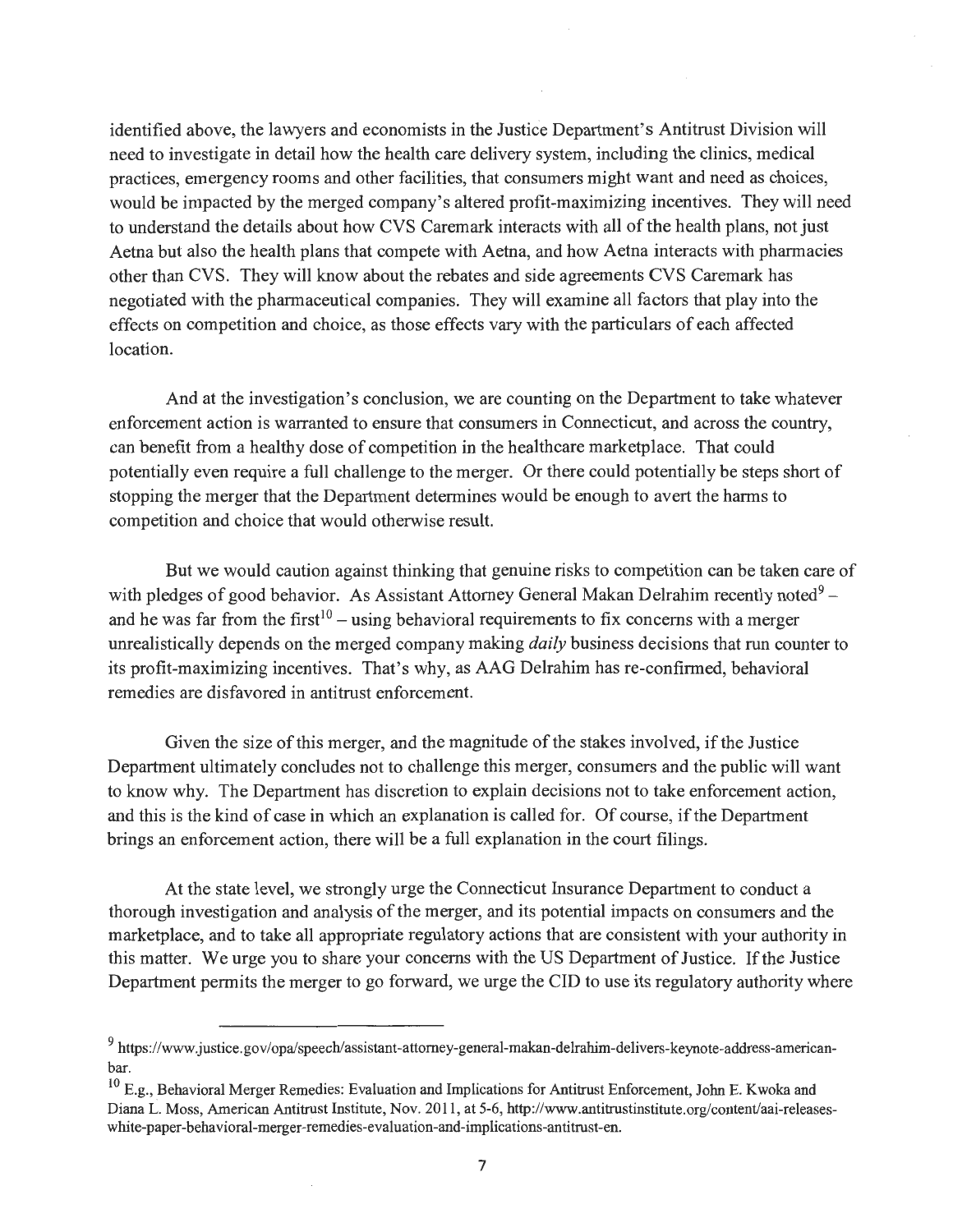identified above, the lawyers and economists in the Justice Department's Antitrust Division will need to investigate in detail how the health care delivery system, including the clinics, medical practices, emergency rooms and other facilities, that consumers might want and need as choices, would be impacted by the merged company's altered profit-maximizing incentives. They will need to understand the details about how CVS Caremark interacts with all of the health plans, not just Aetna but also the health plans that compete with Aetna, and how Aetna interacts with pharmacies other than CVS. They will know about the rebates and side agreements CVS Caremark has negotiated with the pharmaceutical companies. They will examine all factors that play into the effects on competition and choice, as those effects vary with the particulars of each affected location.

And at the investigation's conclusion, we are counting on the Department to take whatever enforcement action is warranted to ensure that consumers in Connecticut, and across the country, can benefit from a healthy dose of competition in the healthcare marketplace. That could potentially even require a full challenge to the merger. Or there could potentially be steps short of stopping the merger that the Department determines would be enough to avert the harms to competition and choice that would otherwise result.

But we would caution against thinking that genuine risks to competition can be taken care of with pledges of good behavior. As Assistant Attorney General Makan Delrahim recently noted<sup>9</sup> – and he was far from the first<sup>10</sup> – using behavioral requirements to fix concerns with a merger unrealistically depends on the merged company making *daily* business decisions that run counter to its profit-maximizing incentives. That's why, as AAG Delrahim has re-confirmed, behavioral remedies are disfavored in antitrust enforcement.

Given the size of this merger, and the magnitude of the stakes involved, if the Justice Department ultimately concludes not to challenge this merger, consumers and the public will want to know why. The Department has discretion to explain decisions not to take enforcement action, and this is the kind of case in which an explanation is called for. Of course, if the Department brings an enforcement action, there will be a full explanation in the court filings.

At the state level, we strongly urge the Connecticut Insurance Department to conduct a thorough investigation and analysis of the merger, and its potential impacts on consumers and the marketplace, and to take all appropriate regulatory actions that are consistent with your authority in this matter. We urge you to share your concerns with the US Department of Justice. If the Justice Department permits the merger to go forward, we urge the CID to use its regulatory authority where

<sup>9</sup>https://www.justice.gov/opa/speech/assistant-attomey-general-makan-delrahim-delivers-keynote-address-americanbar.

 $10$  E.g., Behavioral Merger Remedies: Evaluation and Implications for Antitrust Enforcement, John E. Kwoka and Diana L. Moss, American Antitrust Institute, Nov. 2011 , at 5-6, http://www.antitrustinstitute.org/content/aai-releaseswhite-paper-behavioral-merger-remedies-evaluation-and-implications-antitrust-en.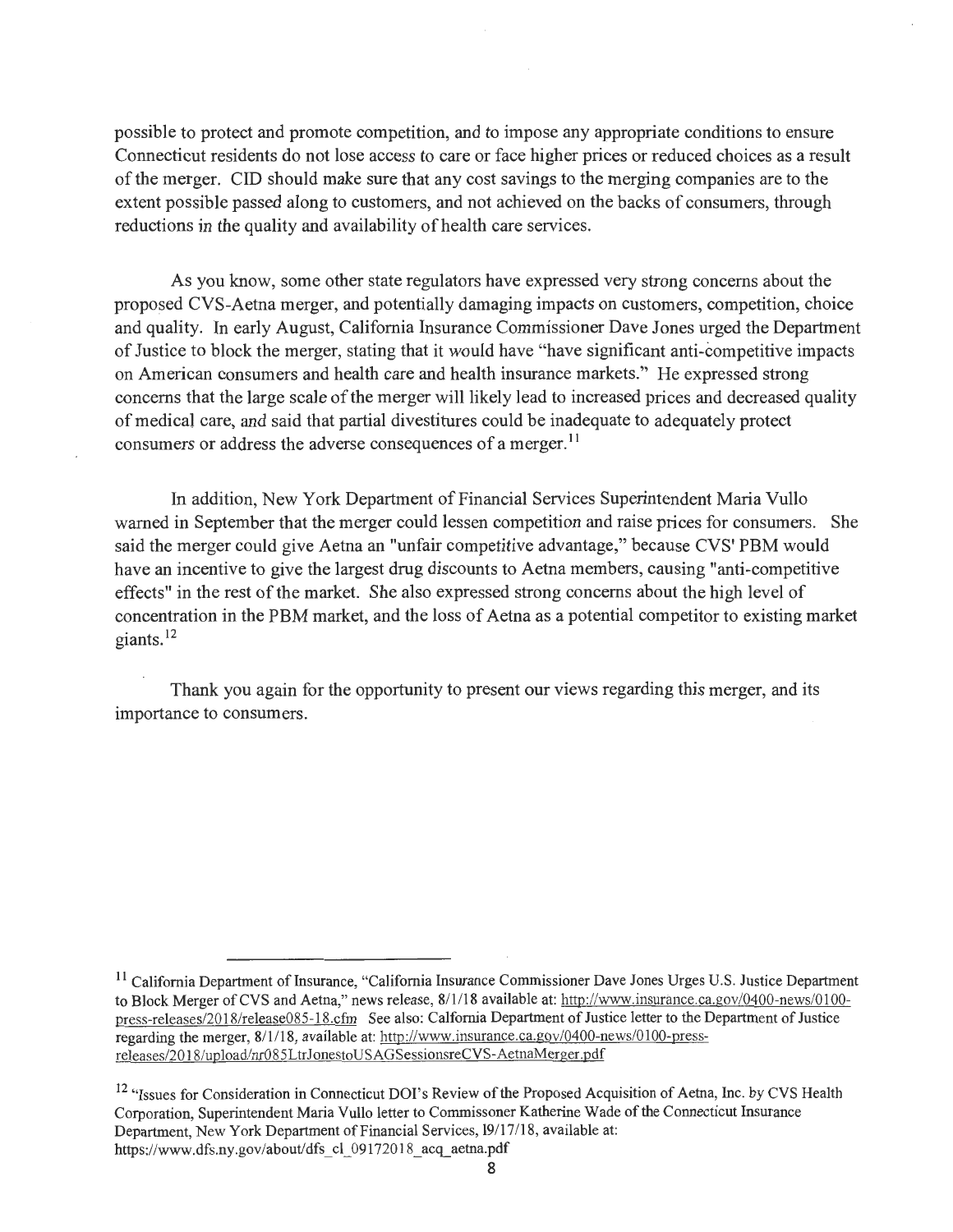possible to protect and promote competition, and to impose any appropriate conditions to ensure Connecticut residents do not lose access to care or face higher prices or reduced choices as a result ofthe merger. CID should make sure that any cost savings to the merging companies are to the extent possible passed along to customers, and not achieved on the backs of consumers, through reductions in the quality and availability of health care services.

As you know, some other state regulators have expressed very strong concerns about the proposed CVS-Aetna merger, and potentially damaging impacts on customers, competition, choice and quality. In early August, California Insurance Commissioner Dave Jones urged the Department of Justice to block the merger, stating that it would have "have significant anti-competitive impacts on American consumers and health care and health insurance markets." He expressed strong concerns that the large scale of the merger will likely lead to increased prices and decreased quality ofmedical care, and said that partial divestitures could be inadequate to adequately protect consumers or address the adverse consequences of a merger.<sup>11</sup>

In addition, New York Department of Financial Services Superintendent Maria Vullo warned in September that the merger could lessen competition and raise prices for consumers. She said the merger could give Aetna an "unfair competitive advantage," because CVS' PBM would have an incentive to give the largest drug discounts to Aetna members, causing "anti-competitive effects" in the rest of the market. She also expressed strong concerns about the high level of concentration in the PBM market, and the loss of Aetna as a potential competitor to existing market giants.<sup>12</sup>

Thank you again for the opportunity to present our views regarding this merger, and its importance to consumers.

<sup>&</sup>lt;sup>11</sup> California Department of Insurance, "California Insurance Commissioner Dave Jones Urges U.S. Justice Department to Block Merger of CVS and Aetna," news release, 8/1/18 available at: http://www.insurance.ca.gov/0400-news/0100 press-releases/2018/release085-18.cfm See also: Calfornia Department of Justice letter to the Department of Justice regarding the merger, 8/1/18, available at: http://www.insurance.ca.gov/0400-news/0100-pressreleases/2018/upload/nr085LtrJonestoUSAGSessionsreCVS-AetnaMerger.pdf

<sup>&</sup>lt;sup>12</sup> "Issues for Consideration in Connecticut DOI's Review of the Proposed Acquisition of Aetna, Inc. by CVS Health Corporation, Superintendent Maria Vullo letter to Commissoner Katherine Wade of the Connecticut Insurance Department, New York Department of Financial Services, 19/17/18, available at: https://www.dfs.ny.gov/about/dfs cl 09172018 acq aetna.pdf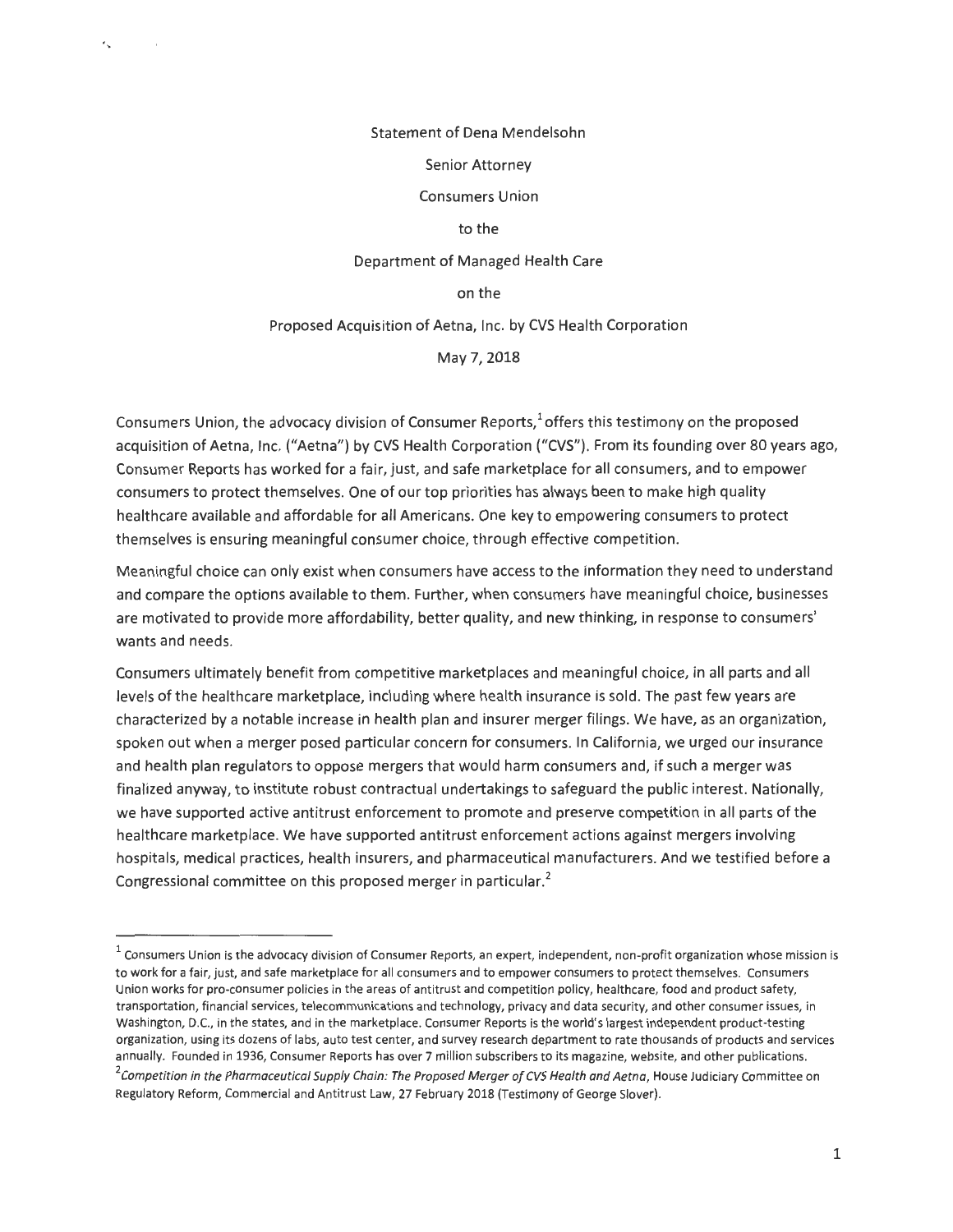#### Statement of Dena Mendelsohn

 $\mathcal{L}_{\mathbf{r}}$ 

#### Senior Attorney

Consumers Union

#### to the

Department of Managed Health Care

#### on the

Proposed Acquisition of Aetna, Inc. by CVS Health Corporation

May 7, 2018

Consumers Union, the advocacy division of Consumer Reports, $1$  offers this testimony on the proposed acquisition of Aetna, Inc. ("Aetna") by CVS Health Corporation ("CVS"). From its founding over 80 years ago, Consumer Reports has worked for a fair, just, and safe marketplace for all consumers, and to empower consumers to protect themselves. One of our top priorities has always been to make high quality healthcare available and affordable for all Americans. One key to empowering consumers to protect themselves is ensuring meaningful consumer choice, through effective competition.

Meaningful choice can only exist when consumers have access to the information they need to understand and compare the options available to them. Further, when consumers have meaningful choice, businesses are motivated to provide more affordability, better quality, and new thinking, in response to consumers' wants and needs.

Consumers ultimately benefit from competitive marketplaces and meaningful choice, in all parts and all levels of the healthcare marketplace, including where health insurance is sold. The past few years are characterized by a notable increase in health plan and insurer merger filings. We have, as an organization, spoken out when a merger posed particular concern for consumers. In California, we urged our insurance and health plan regulators to oppose mergers that would harm consumers and, if such a merger was finalized anyway, to institute robust contractual undertakings to safeguard the public interest. Nationally, we have supported active antitrust enforcement to promote and preserve competition in all parts of the healthcare marketplace. We have supported antitrust enforcement actions against mergers involving hospitals, medical practices, health insurers, and pharmaceutical manufacturers. And we testified before a Congressional committee on this proposed merger in particular.<sup>2</sup>

 $1$  Consumers Union is the advocacy division of Consumer Reports, an expert, independent, non-profit organization whose mission is to work for a fair, just, and safe marketplace for all consumers and to empower consumers to protect themselves. Consumers Union works for pro-consumer policies in the areas of antitrust and competition policy, healthcare, food and product safety, transportation, financial services, telecommunications and technology, privacy and data security, and other consumer issues, in Washington, D.C., in the states, and in the marketplace. Consumer Reports is the world's largest independent product-testing organization, using its dozens of labs, auto test center, and survey research department to rate thousands of products and services annually. Founded in 1936, Consumer Reports has over 7 million subscribers to its magazine, website, and other publications. *2* Competition in the Pharmaceutical Supply Chain: The Proposed Merger of CVS Health and Aetna, House Judiciary Committee on Regulatory Reform, Commercial and Antitrust Law, 27 February 2018 (Testimony of George Slover}.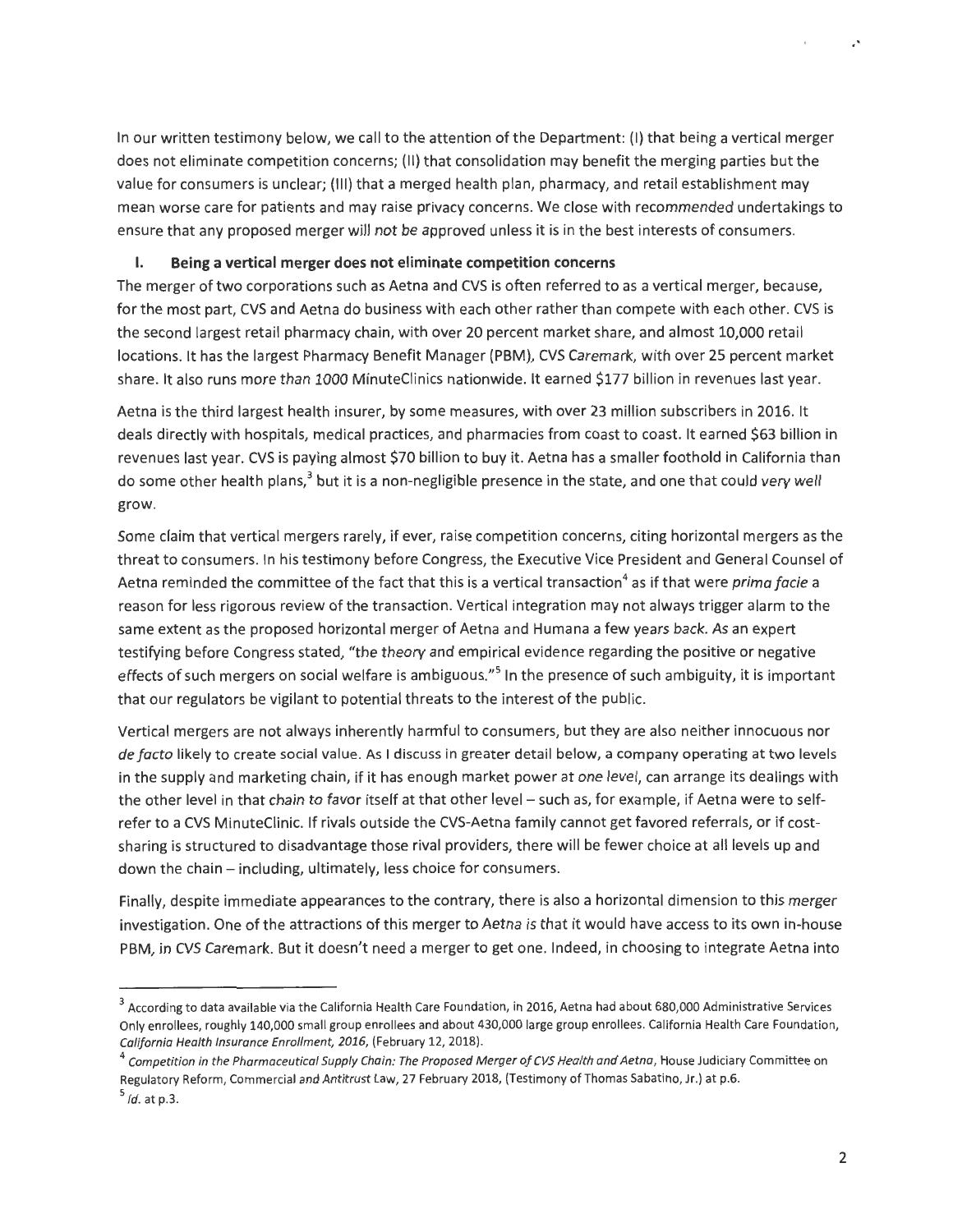In our written testimony below, we call to the attention of the Department: {I) that being a vertical merger does not eliminate competition concerns; (II) that consolidation may benefit the merging parties but the value for consumers is unclear; {Ill} that a merged health plan, pharmacy, and retail establishment may mean worse care for patients and may raise privacy concerns. We close with recommended undertakings to ensure that any proposed merger will not be approved unless it is in the best interests of consumers.

#### **I. Being a vertical merger does not eliminate competition concerns**

The merger of two corporations such as Aetna and CVS is often referred to as a vertical merger, because, for the most part, CVS and Aetna do business with each other rather than compete with each other. CVS is the second largest retail pharmacy chain, with over 20 percent market share, and almost 10,000 retail locations. It has the largest Pharmacy Benefit Manager (PBM), CVS Caremark, with over 25 percent market share. It also runs more than 1000 MinuteClinics nationwide. It earned \$177 billion in revenues last year.

Aetna is the third largest health insurer, by some measures, with over 23 million subscribers in 2016. It deals directly with hospitals, medical practices, and pharmacies from coast to coast. It earned \$63 billion in revenues last year. CVS is paying almost \$70 billion to buy it. Aetna has a smaller foothold in California than do some other health plans,<sup>3</sup> but it is a non-negligible presence in the state, and one that could very well grow.

Some claim that vertical mergers rarely, if ever, raise competition concerns, citing horizontal mergers as the threat to consumers. In his testimony before Congress, the Executive Vice President and General Counsel of Aetna reminded the committee of the fact that this is a vertical transaction<sup>4</sup> as if that were *prima facie* a reason for less rigorous review of the transaction. Vertical integration may not always trigger alarm to the same extent as the proposed horizontal merger of Aetna and Humana a few years back. As an expert testifying before Congress stated, "the theory and empirical evidence regarding the positive or negative effects of such mergers on social welfare is ambiguous."<sup>5</sup> In the presence of such ambiguity, it is important that our regulators be vigilant to potential threats to the interest of the public.

Vertical mergers are not always inherently harmful to consumers, but they are also neither innocuous nor *de facto* likely to create social value. As I discuss in greater detail below, a company operating at two levels in the supply and marketing chain, if it has enough market power at one level, can arrange its dealings with the other level in that chain to favor itself at that other level - such as, for example, if Aetna were to selfrefer to a CVS MinuteClinic. If rivals outside the CVS-Aetna family cannot get favored referrals, or if costsharing is structured to disadvantage those rival providers, there will be fewer choice at all levels up and down the chain - including, ultimately, less choice for consumers.

Finally, despite immediate appearances to the contrary, there is also a horizontal dimension to this merger investigation. One of the attractions of this merger to Aetna is that it would have access to its own in-house PBM, in CVS Caremark. But it doesn't need a merger to get one. Indeed, in choosing to integrate Aetna into

,.

 $3$  According to data available via the California Health Care Foundation, in 2016, Aetna had about 680,000 Administrative Services Only enrollees, roughly 140,000 small group enrollees and about 430,000 large group enrollees. California Health Care Foundation, California Health Insurance Enrollment, 2016, (February 12, 2018).

 $^4$  Competition in the Pharmaceutical Supply Chain: The Proposed Merger of CVS Health and Aetna, House Judiciary Committee on Regulatory Reform, Commercial and Antitrust Law, 27 February 2018, (Testimony of Thomas Sabatino, Jr.) at p.6.

 $<sup>5</sup>$  *ld.* at p.3.</sup>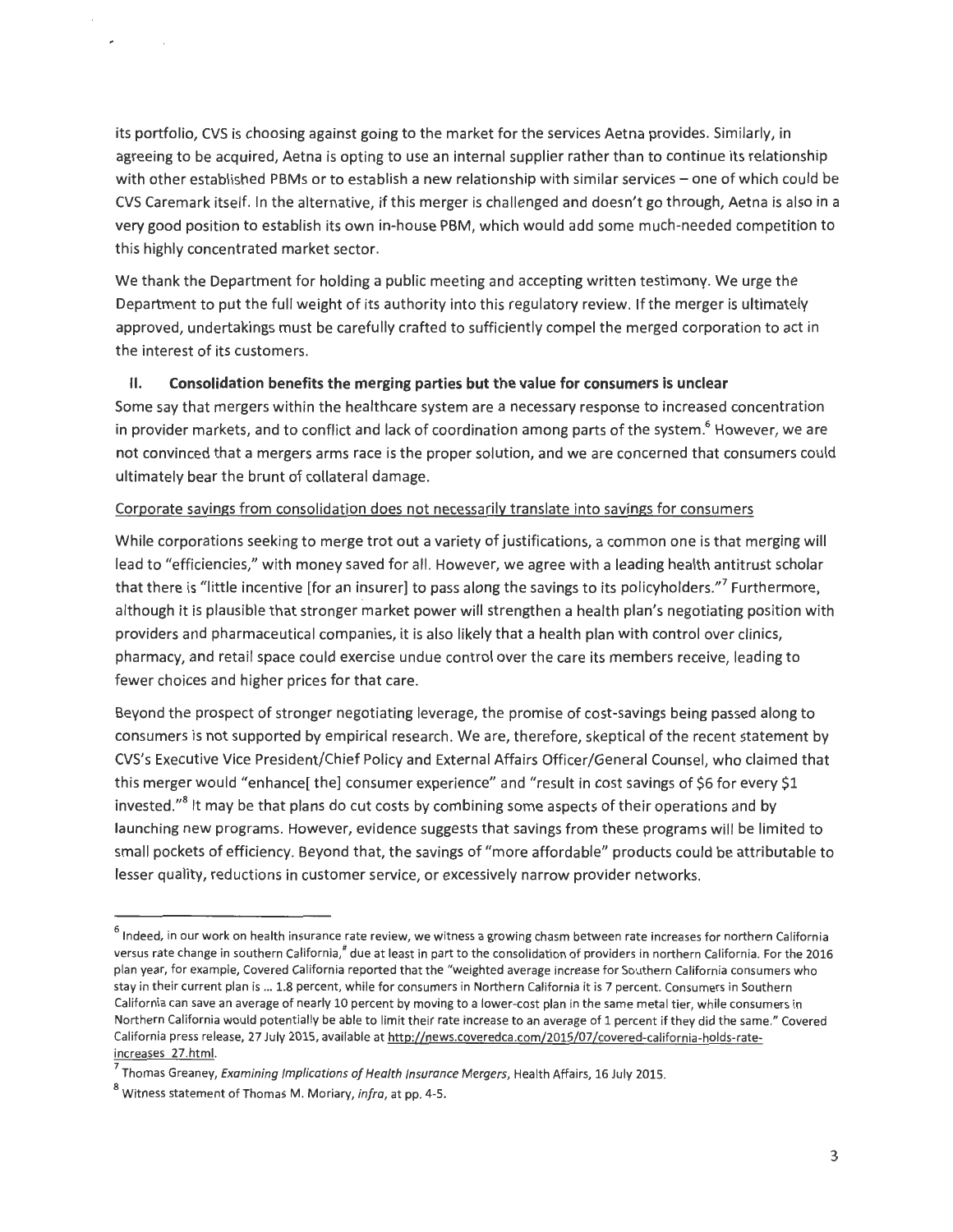its portfolio, CVS is choosing against going to the market for the services Aetna provides. Similarly, in agreeing to be acquired, Aetna is opting to use an internal supplier rather than to continue its relationship with other established PBMs or to establish a new relationship with similar services - one of which could be CVS Caremark itself. In the alternative, if this merger is challenged and doesn't go through, Aetna is also in a very good position to establish its own in-house PBM, which would add some much-needed competition to this highly concentrated market sector.

We thank the Department for holding a public meeting and accepting written testimony. We urge the Department to put the full weight of its authority into this regulatory review. If the merger is ultimately approved, undertakings must be carefully crafted to sufficiently compel the merged corporation to act in the interest of its customers.

#### II. **Consolidation benefits the merging parties but the value for consumers is unclear**

Some say that mergers within the healthcare system are a necessary response to increased concentration in provider markets, and to conflict and lack of coordination among parts of the system.<sup>6</sup> However, we are not convinced that a mergers arms race is the proper solution, and we are concerned that consumers could ultimately bear the brunt of collateral damage.

#### Corporate savings from consolidation does not necessarily translate into savings for consumers

While corporations seeking to merge trot out a variety of justifications, a common one is that merging will lead to "efficiencies," with money saved for all. However, we agree with a leading health antitrust scholar that there is "little incentive [for an insurer] to pass along the savings to its policyholders."<sup>7</sup> Furthermore, although it is plausible that stronger market power will strengthen a health plan's negotiating position with providers and pharmaceutical companies, it is also likely that a health plan with control over clinics, pharmacy, and retail space could exercise undue control over the care its members receive, leading to fewer choices and higher prices for that care.

Beyond the prospect of stronger negotiating leverage, the promise of cost-savings being passed along to consumers is not supported by empirical research. We are, therefore, skeptical of the recent statement by CVS's Executive Vice President/Chief Policy and External Affairs Officer/General Counsel, who claimed that this merger would "enhance[ the] consumer experience" and "result in cost savings of \$6 for every \$1 invested."<sup>8</sup> It may be that plans do cut costs by combining some aspects of their operations and by launching new programs. However, evidence suggests that savings from these programs will be limited to small pockets of efficiency. Beyond that, the savings of "more affordable" products could be attributable to lesser quality, reductions in customer service, or excessively narrow provider networks.

<sup>&</sup>lt;sup>6</sup> Indeed, in our work on health insurance rate review, we witness a growing chasm between rate increases for northern California versus rate change in southern California,<sup>#</sup> due at least in part to the consolidation of providers in northern California. For the 2016 plan year, for example, Covered California reported that the "weighted average increase for Southern California consumers who stay in their current plan is ... 1.8 percent, while for consumers in Northern California it is 7 percent. Consumers in Southern California can save an average of nearly 10 percent by moving to a lower-cost plan in the same metal tier, while consumers in Northern California would potentially be able to limit their rate increase to an average of 1 percent if they did the same." Covered California press release, 27 July 2015, available at http://news.coveredca.com/2015/07/covered-california-holds-rateincreases 27.html.<br><sup>7</sup> Thomas Greaney, *Examining Implications of Health Insurance Mergers*, Health Affairs, 16 July 2015.<br><sup>8</sup> Witness statement of Thomas M. Moriary, *infra*, at pp. 4-5.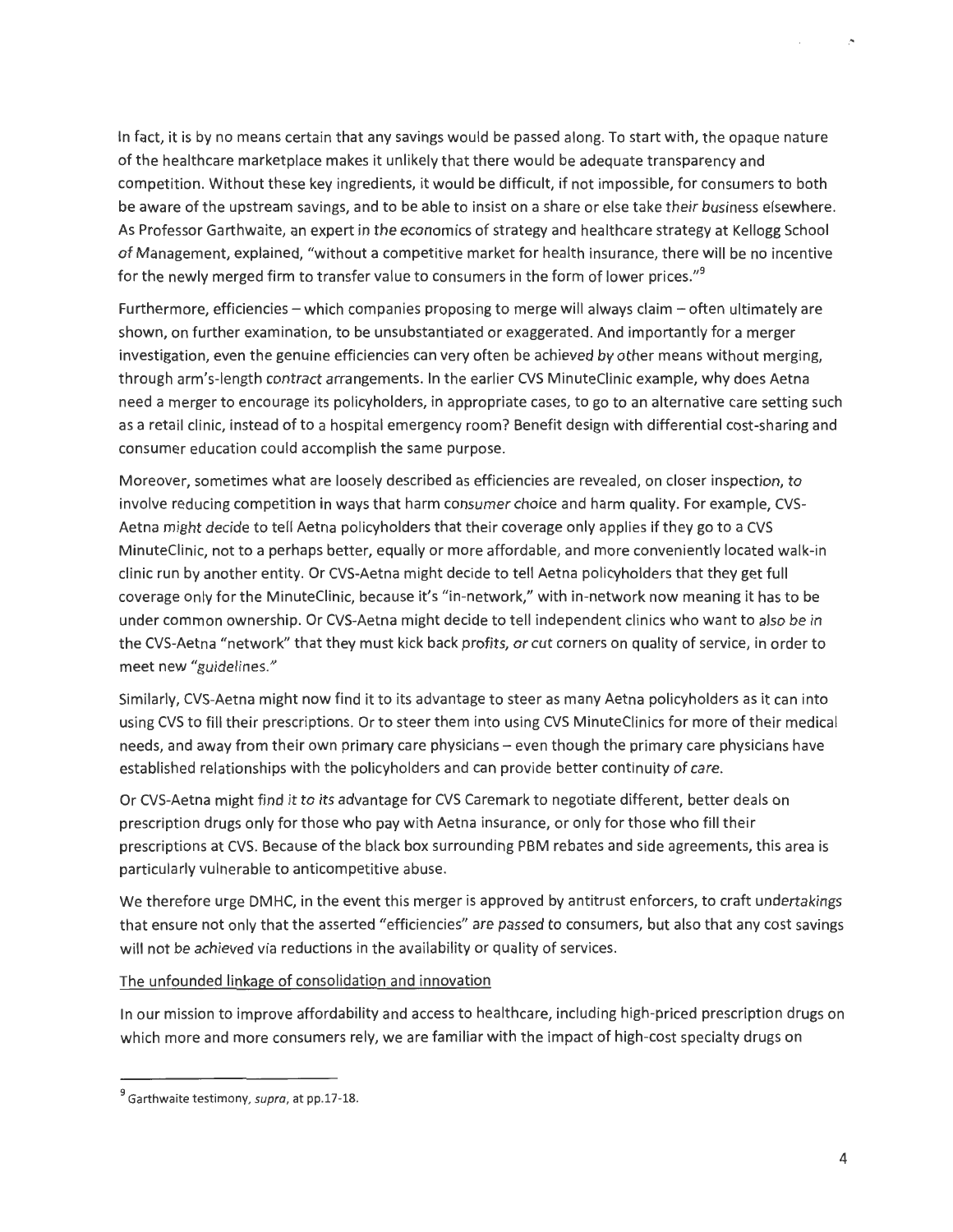In fact, it is by no means certain that any savings would be passed along. To start with, the opaque nature of the healthcare marketplace makes it unlikely that there would be adequate transparency and competition. Without these key ingredients, it would be difficult, if not impossible, for consumers to both be aware of the upstream savings, and to be able to insist on a share or else take their business elsewhere. As Professor Garthwaite, an expert in the economics of strategy and healthcare strategy at Kellogg School of Management, explained, "without a competitive market for health insurance, there will be no incentive for the newly merged firm to transfer value to consumers in the form of lower prices."<sup>9</sup>

Furthermore, efficiencies - which companies proposing to merge will always claim - often ultimately are shown, on further examination, to be unsubstantiated or exaggerated. And importantly for a merger investigation, even the genuine efficiencies can very often be achieved by other means without merging, through arm's-length contract arrangements. In the earlier CVS MinuteClinic example, why does Aetna need a merger to encourage its policyholders, in appropriate cases, to go to an alternative care setting such as a retail clinic, instead ofto a hospital emergency room? Benefit design with differential cost-sharing and consumer education could accomplish the same purpose.

Moreover, sometimes what are loosely described as efficiencies are revealed, on closer inspection, to involve reducing competition in ways that harm consumer choice and harm quality. For example, CVS-Aetna might decide to tell Aetna policyholders that their coverage only applies if they go to a CVS MinuteClinic, not to a perhaps better, equally or more affordable, and more conveniently located walk-in clinic run by another entity. Or CVS-Aetna might decide to tell Aetna policyholders that they get full coverage only for the MinuteClinic, because it's "in-network," with in-network now meaning it has to be under common ownership. Or CVS-Aetna might decide to tell independent clinics who want to also be in the CVS-Aetna "network" that they must kick back profits, or cut corners on quality of service, in order to meet new "guidelines."

Similarly, CVS-Aetna might now find it to its advantage to steer as many Aetna policyholders as it can into using CVS to fill their prescriptions. Or to steer them into using CVS MinuteClinics for more of their medical needs, and away from their own primary care physicians - even though the primary care physicians have established relationships with the policyholders and can provide better continuity of care.

Or CVS-Aetna might find it to its advantage for CVS Caremark to negotiate different, better deals on prescription drugs only for those who pay with Aetna insurance, or only for those who fill their prescriptions at CVS. Because of the black box surrounding PBM rebates and side agreements, this area is particularly vulnerable to anticompetitive abuse.

We therefore urge DMHC, in the event this merger is approved by antitrust enforcers, to craft undertakings that ensure not only that the asserted "efficiencies" are passed to consumers, but also that any cost savings will not be achieved via reductions in the availability or quality of services.

The unfounded linkage of consolidation and innovation

In our mission to improve affordability and access to healthcare, including high-priced prescription drugs on which more and more consumers rely, we are familiar with the impact of high-cost specialty drugs on

*!'* 

 $^{9}$  Garthwaite testimony, supra, at pp.17-18.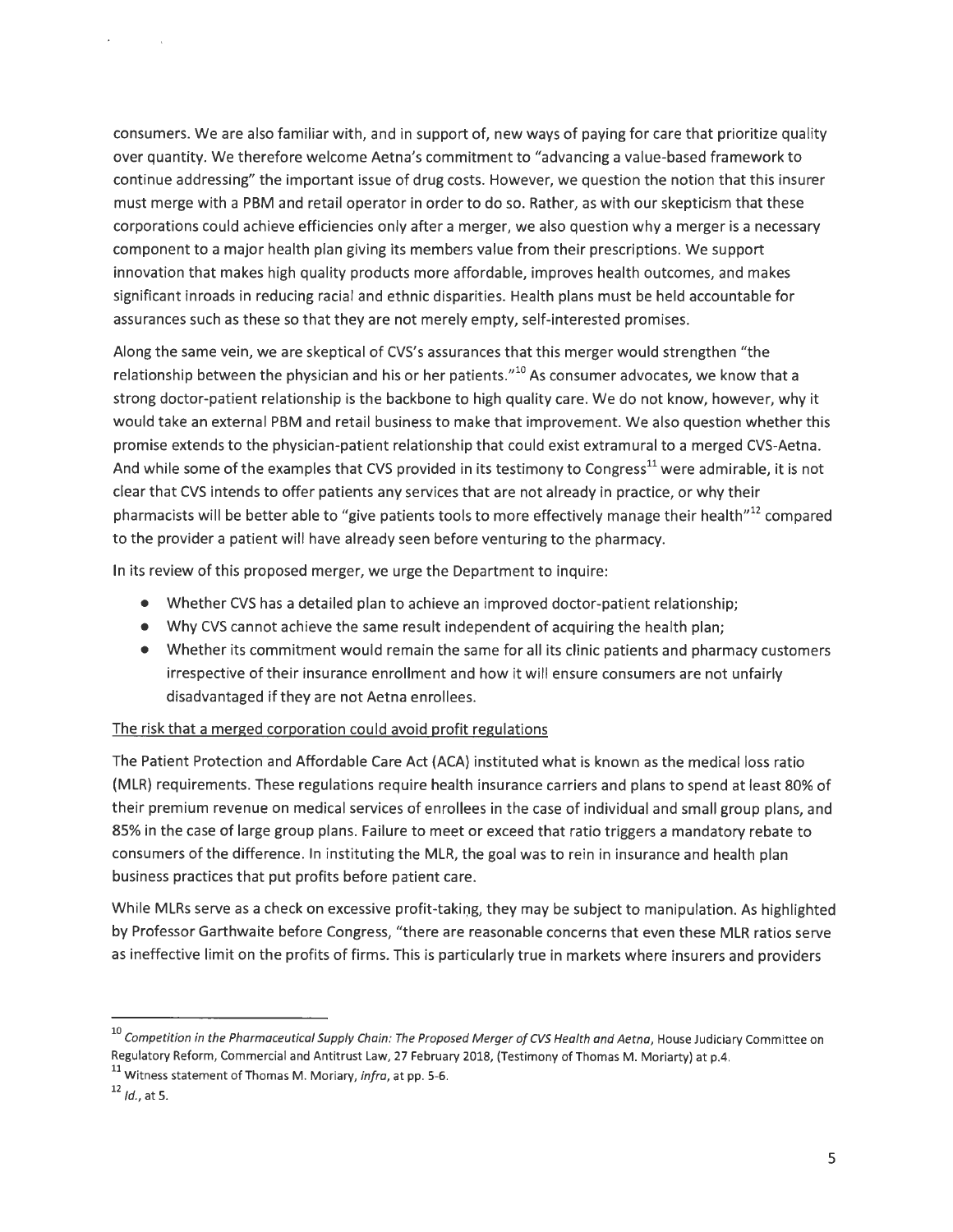consumers. We are also familiar with, and in support of, new ways of paying for care that prioritize quality over quantity. We therefore welcome Aetna's commitment to "advancing a value-based framework to continue addressing" the important issue of drug costs. However, we question the notion that this insurer must merge with a PBM and retail operator in order to do so. Rather, as with our skepticism that these corporations could achieve efficiencies only after a merger, we also question why a merger is a necessary component to a major health plan giving its members value from their prescriptions. We support innovation that makes high quality products more affordable, improves health outcomes, and makes significant inroads in reducing racial and ethnic disparities. Health plans must be held accountable for assurances such as these so that they are not merely empty, self-interested promises.

Along the same vein, we are skeptical of CVS's assurances that this merger would strengthen "the relationship between the physician and his or her patients." $10<sup>10</sup>$  As consumer advocates, we know that a strong doctor-patient relationship is the backbone to high quality care . We do not know, however, why it would take an external PBM and retail business to make that improvement. We also question whether this promise extends to the physician-patient relationship that could exist extramural to a merged CVS-Aetna. And while some of the examples that CVS provided in its testimony to Congress<sup>11</sup> were admirable, it is not clear that CVS intends to offer patients any services that are not already in practice, or why their pharmacists will be better able to "give patients tools to more effectively manage their health" $^{12}$  compared to the provider a patient will have already seen before venturing to the pharmacy.

In its review of this proposed merger, we urge the Department to inquire:

- Whether CVS has a detailed plan to achieve an improved doctor-patient relationship;
- Why CVS cannot achieve the same result independent of acquiring the health plan;
- Whether its commitment would remain the same for all its clinic patients and pharmacy customers irrespective of their insurance enrollment and how it will ensure consumers are not unfairly disadvantaged if they are not Aetna enrollees.

#### The risk that a merged corporation could avoid profit regulations

The Patient Protection and Affordable Care Act (ACA) instituted what is known as the medical loss ratio (MLR) requirements. These regulations require health insurance carriers and plans to spend at least 80% of their premium revenue on medical services of enrollees in the case of individual and small group plans, and 85% in the case of large group plans. Failure to meet or exceed that ratio triggers a mandatory rebate to consumers of the difference. In instituting the MLR, the goal was to rein in insurance and health plan business practices that put profits before patient care.

While MLRs serve as a check on excessive profit-taking, they may be subject to manipulation. As highlighted by Professor Garthwaite before Congress, "there are reasonable concerns that even these MLR ratios serve as ineffective limit on the profits of firms. This is particularly true in markets where insurers and providers

 $^{10}$  Competition in the Pharmaceutical Supply Chain: The Proposed Merger of CVS Health and Aetna, House Judiciary Committee on Regulatory Reform, Commercial and Antitrust Law, 27 February 2018, (Testimony of Thomas M. Moriarty) at p.4. 11<br><sup>11</sup> Witness statement of Thomas M. Moriary, *infra*, at pp. 5-6.

 $12$  *ld.*, at 5.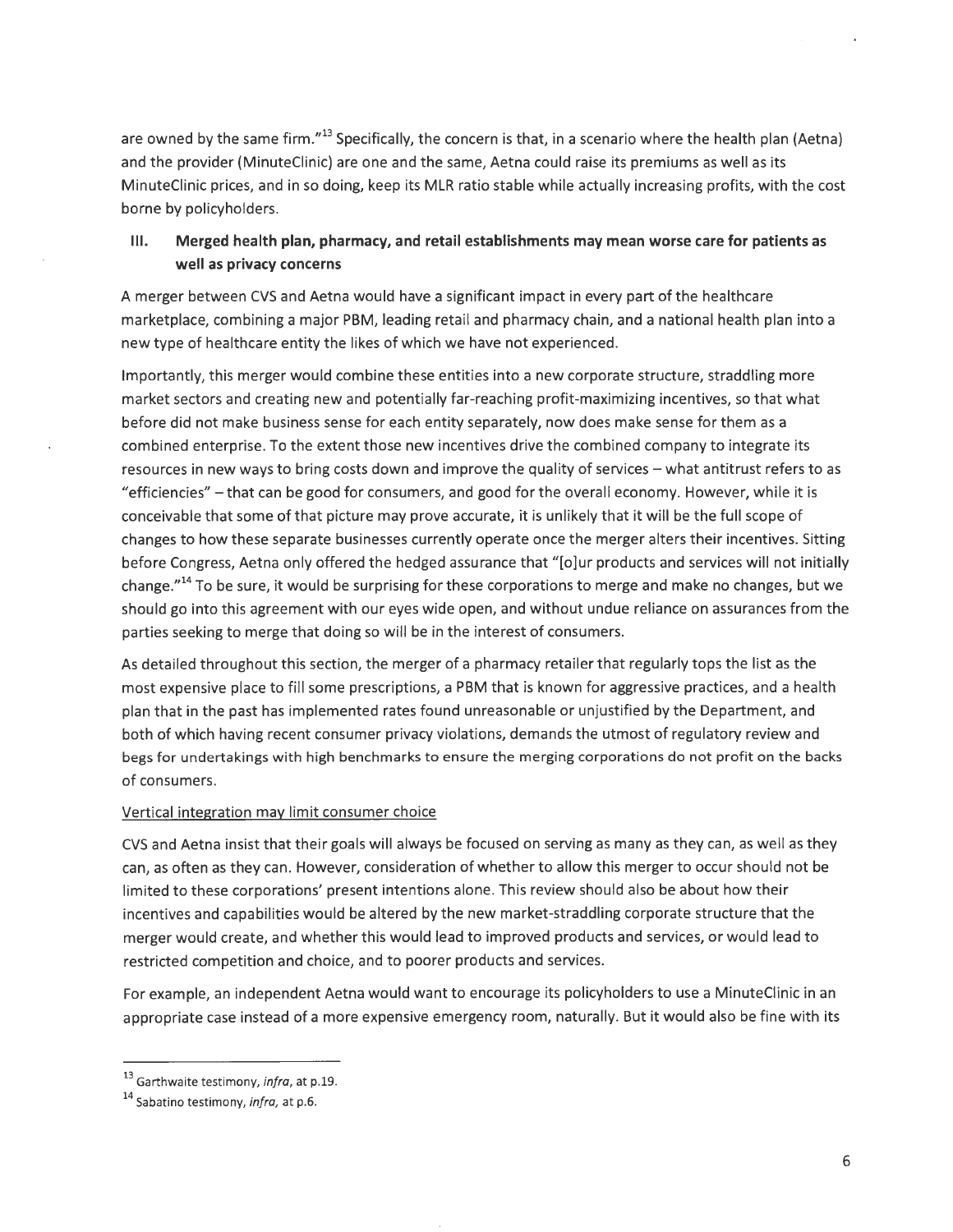are owned by the same firm."<sup>13</sup> Specifically, the concern is that, in a scenario where the health plan (Aetna) and the provider (MinuteClinic) are one and the same, Aetna could raise its premiums as well as its MinuteClinic prices, and in so doing, keep its MLR ratio stable while actually increasing profits, with the cost borne by policyholders.

#### **Ill. Merged health plan, pharmacy, and retail establishments may mean worse care for patients as well as privacy concerns**

A merger between CVS and Aetna would have a significant impact in every part of the healthcare marketplace, combining a major PBM, leading retail and pharmacy chain, and a national health plan into a new type of healthcare entity the likes of which we have not experienced.

Importantly, this merger would combine these entities into a new corporate structure, straddling more market sectors and creating new and potentially far-reaching profit-maximizing incentives, so that what before did not make business sense for each entity separately, now does make sense for them as a combined enterprise. To the extent those new incentives drive the combined company to integrate its resources in new ways to bring costs down and improve the quality of services - what antitrust refers to as "efficiencies" - that can be good for consumers, and good for the overall economy. However, while it is conceivable that some of that picture may prove accurate, it is unlikely that it will be the full scope of changes to how these separate businesses currently operate once the merger alters their incentives. Sitting before Congress, Aetna only offered the hedged assurance that "[o]ur products and services will not initially change."<sup>14</sup> To be sure, it would be surprising for these corporations to merge and make no changes, but we should go into this agreement with our eyes wide open, and without undue reliance on assurances from the parties seeking to merge that doing so will be in the interest of consumers.

As detailed throughout this section, the merger of a pharmacy retailer that regularly tops the list as the most expensive place to fill some prescriptions, a PBM that is known for aggressive practices, and a health plan that in the past has implemented rates found unreasonable or unjustified by the Department, and both of which having recent consumer privacy violations, demands the utmost of regulatory review and begs for undertakings with high benchmarks to ensure the merging corporations do not profit on the backs of consumers.

#### Vertical integration may limit consumer choice

CVS and Aetna insist that their goals will always be focused on serving as many as they can, as well as they can, as often as they can. However, consideration of whether to allow this merger to occur should not be limited to these corporations' present intentions alone. This review should also be about how their incentives and capabilities would be altered by the new market-straddling corporate structure that the merger would create, and whether this would lead to improved products and services, or would lead to restricted competition and choice, and to poorer products and services.

For example, an independent Aetna would want to encourage its policyholders to use a MinuteClinic in an appropriate case instead of a more expensive emergency room, naturally. But it would also be fine with its

<sup>13</sup> Garthwaite testimony, *infra,* at p.19. 14 Sabatino testimony, *infra,* at p.6.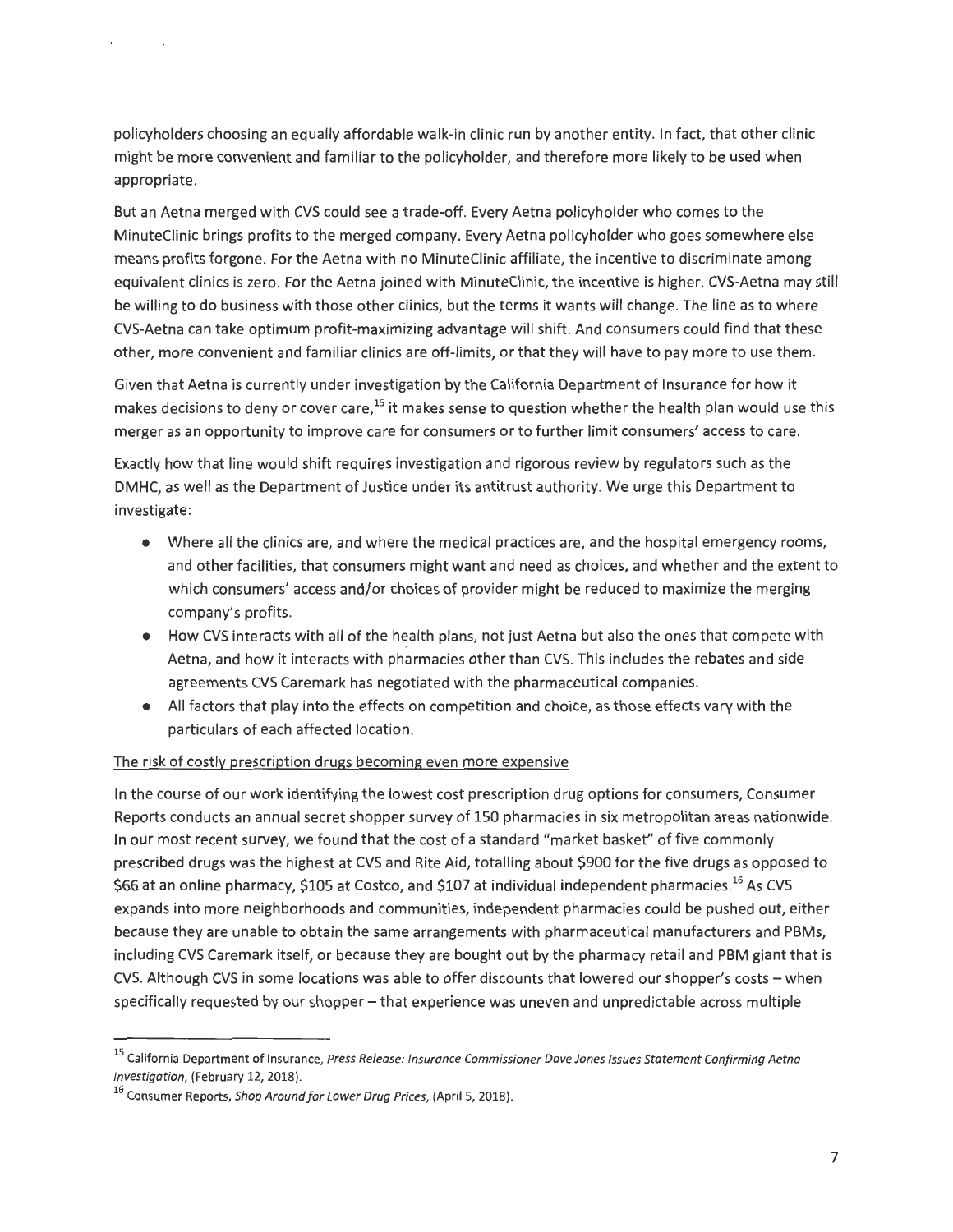policyholders choosing an equally affordable walk-in clinic run by another entity. In fact, that other clinic might be more convenient and familiar to the policyholder, and therefore more likely to be used when appropriate.

But an Aetna merged with CVS could see a trade-off. Every Aetna policyholder who comes to the MinuteClinic brings profits to the merged company. Every Aetna policyholder who goes somewhere else means profits forgone. For the Aetna with no MinuteClinic affiliate, the incentive to discriminate among equivalent clinics is zero. For the Aetna joined with MinuteClinic, the incentive is higher. CVS-Aetna may still be willing to do business with those other clinics, but the terms it wants will change. The line as to where CVS-Aetna can take optimum profit-maximizing advantage will shift. And consumers could find that these other, more convenient and familiar clinics are off-limits, or that they will have to pay more to use them.

Given that Aetna is currently under investigation by the California Department of Insurance for how it makes decisions to deny or cover care,<sup>15</sup> it makes sense to question whether the health plan would use this merger as an opportunity to improve care for consumers or to further limit consumers' access to care.

Exactly how that line would shift requires investigation and rigorous review by regulators such as the DMHC, as well as the Department of Justice under its antitrust authority. We urge this Department to investigate:

- Where all the clinics are, and where the medical practices are, and the hospital emergency rooms, and other facilities, that consumers might want and need as choices, and whether and the extent to which consumers' access and/or choices of provider might be reduced to maximize the merging company's profits.
- How CVS interacts with all of the health plans, not just Aetna but also the ones that compete with Aetna, and how it interacts with pharmacies other than CVS. This includes the rebates and side agreements CVS Caremark has negotiated with the pharmaceutical companies.
- All factors that play into the effects on competition and choice, as those effects vary with the particulars of each affected location.

#### The risk of costly prescription drugs becoming even more expensive

In the course of our work identifying the lowest cost prescription drug options for consumers, Consumer Reports conducts an annual secret shopper survey of 150 pharmacies in six metropolitan areas nationwide. In our most recent survey, we found that the cost of a standard "market basket" of five commonly prescribed drugs was the highest at CVS and Rite Aid, totalling about \$900 for the five drugs as opposed to \$66 at an online pharmacy, \$105 at Costco, and \$107 at individual independent pharmacies. $^\mathrm{16}$  As CVS expands into more neighborhoods and communities, independent pharmacies could be pushed out, either because they are unable to obtain the same arrangements with pharmaceutical manufacturers and PBMs, including CVS Caremark itself, or because they are bought out by the pharmacy retail and PBM giant that is CVS. Although CVS in some locations was able to offer discounts that lowered our shopper's costs - when specifically requested by our shopper- that experience was uneven and unpredictable across multiple

<sup>&</sup>lt;sup>15</sup> California Department of Insurance, Press Release: Insurance Commissioner Dave Jones Issues Statement Confirming Aetna Investigation, (February 12, 2018).

<sup>&</sup>lt;sup>16</sup> Consumer Reports, Shop Around for Lower Drug Prices, (April 5, 2018).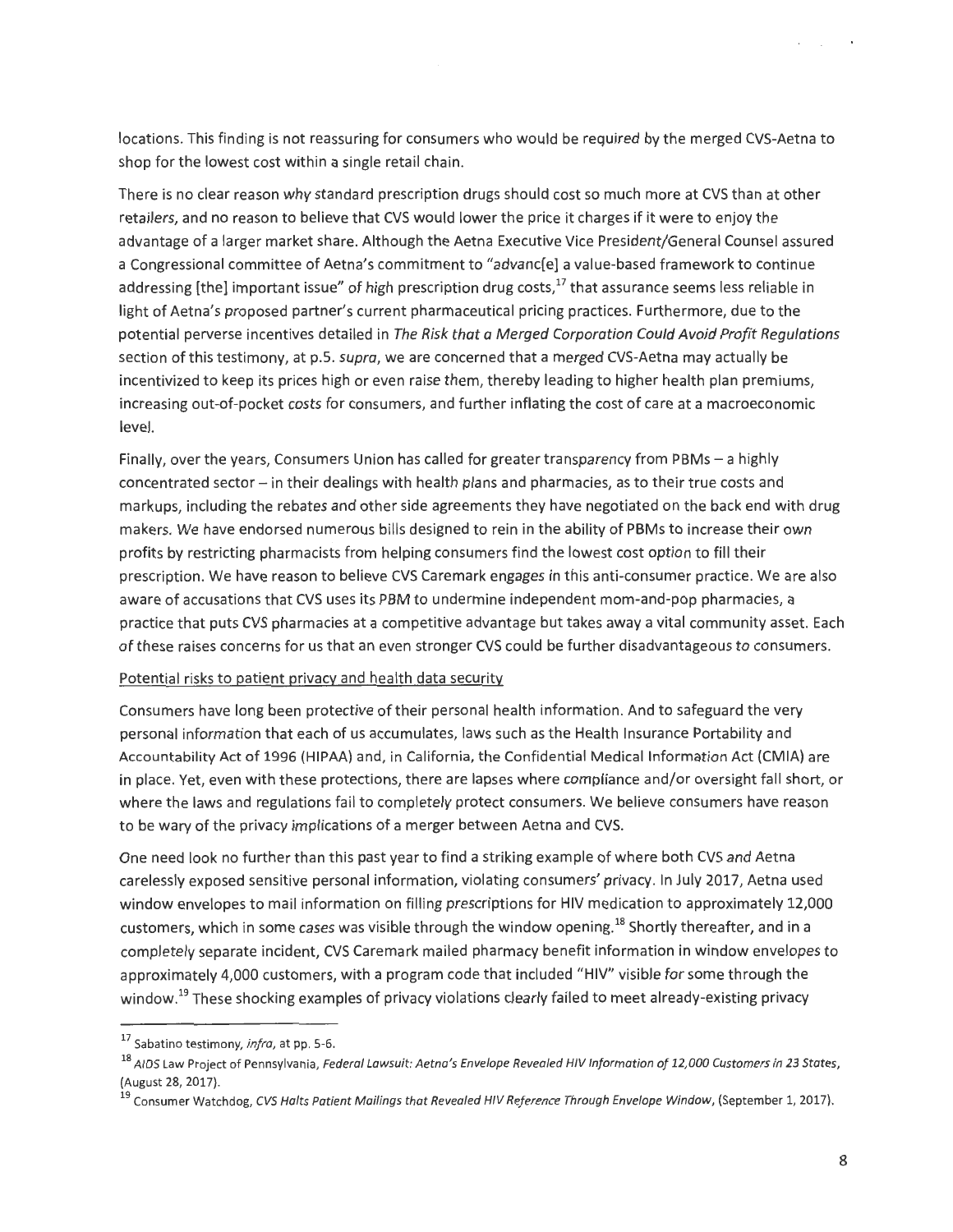locations. This finding is not reassuring for consumers who would be required by the merged CVS-Aetna to shop for the lowest cost within a single retail chain.

There is no clear reason why standard prescription drugs should cost so much more at CVS than at other retailers, and no reason to believe that CVS would lower the price it charges if it were to enjoy the advantage of a larger market share. Although the Aetna Executive Vice President/General Counsel assured a Congressional committee of Aetna's commitment to "advanc[e] a value-based framework to continue addressing [the] important issue" of high prescription drug costs, $^{17}$  that assurance seems less reliable in light of Aetna's proposed partner's current pharmaceutical pricing practices. Furthermore, due to the potential perverse incentives detailed in The Risk that a Merged Corporation Could Avoid Profit Regulations section of this testimony, at p.5. *supra*, we are concerned that a merged CVS-Aetna may actually be incentivized to keep its prices high or even raise them, thereby leading to higher health plan premiums, increasing out-of-pocket costs for consumers, and further inflating the cost of care at a macroeconomic level.

Finally, over the years, Consumers Union has called for greater transparency from PBMs - a highly concentrated sector - in their dealings with health plans and pharmacies, as to their true costs and markups, including the rebates and other side agreements they have negotiated on the back end with drug makers. We have endorsed numerous bills designed to rein in the ability of PBMs to increase their own profits by restricting pharmacists from helping consumers find the lowest cost option to fill their prescription. We have reason to believe CVS Caremark engages in this anti-consumer practice. We are also aware of accusations that CVS uses its PBM to undermine independent mom-and-pop pharmacies, a practice that puts CVS pharmacies at a competitive advantage but takes away a vital community asset. Each of these raises concerns for us that an even stronger CVS could be further disadvantageous to consumers.

#### Potential risks to patient privacy and health data security

Consumers have long been protective of their personal health information. And to safeguard the very personal information that each of us accumulates, laws such as the Health Insurance Portability and Accountability Act of 1996 (HIPAA} and, in California, the Confidential Medical Information Act (CMIA) are in place. Yet, even with these protections, there are lapses where compliance and/or oversight fall short, or where the laws and regulations fail to completely protect consumers. We believe consumers have reason to be wary of the privacy implications of a merger between Aetna and CVS.

One need look no further than this past year to find a striking example of where both CVS and Aetna carelessly exposed sensitive personal information, violating consumers' privacy. In July 2017, Aetna used window envelopes to mail information on filling prescriptions for HIV medication to approximately 12,000 customers, which in some cases was visible through the window opening.<sup>18</sup> Shortly thereafter, and in a completely separate incident, CVS Caremark mailed pharmacy benefit information in window envelopes to approximately 4,000 customers, with a program code that included "HIV" visible for some through the window.<sup>19</sup> These shocking examples of privacy violations clearly failed to meet already-existing privacy

<sup>17</sup> Sabatino testimony, infra, at pp. 5-6.

<sup>&</sup>lt;sup>18</sup> AIDS Law Project of Pennsylvania, Federal Lawsuit: Aetna's Envelope Revealed HIV Information of 12,000 Customers in 23 States, (August 28, 2017).

<sup>&</sup>lt;sup>19</sup> Consumer Watchdog, CVS Halts Patient Mailings that Revealed HIV Reference Through Envelope Window, (September 1, 2017).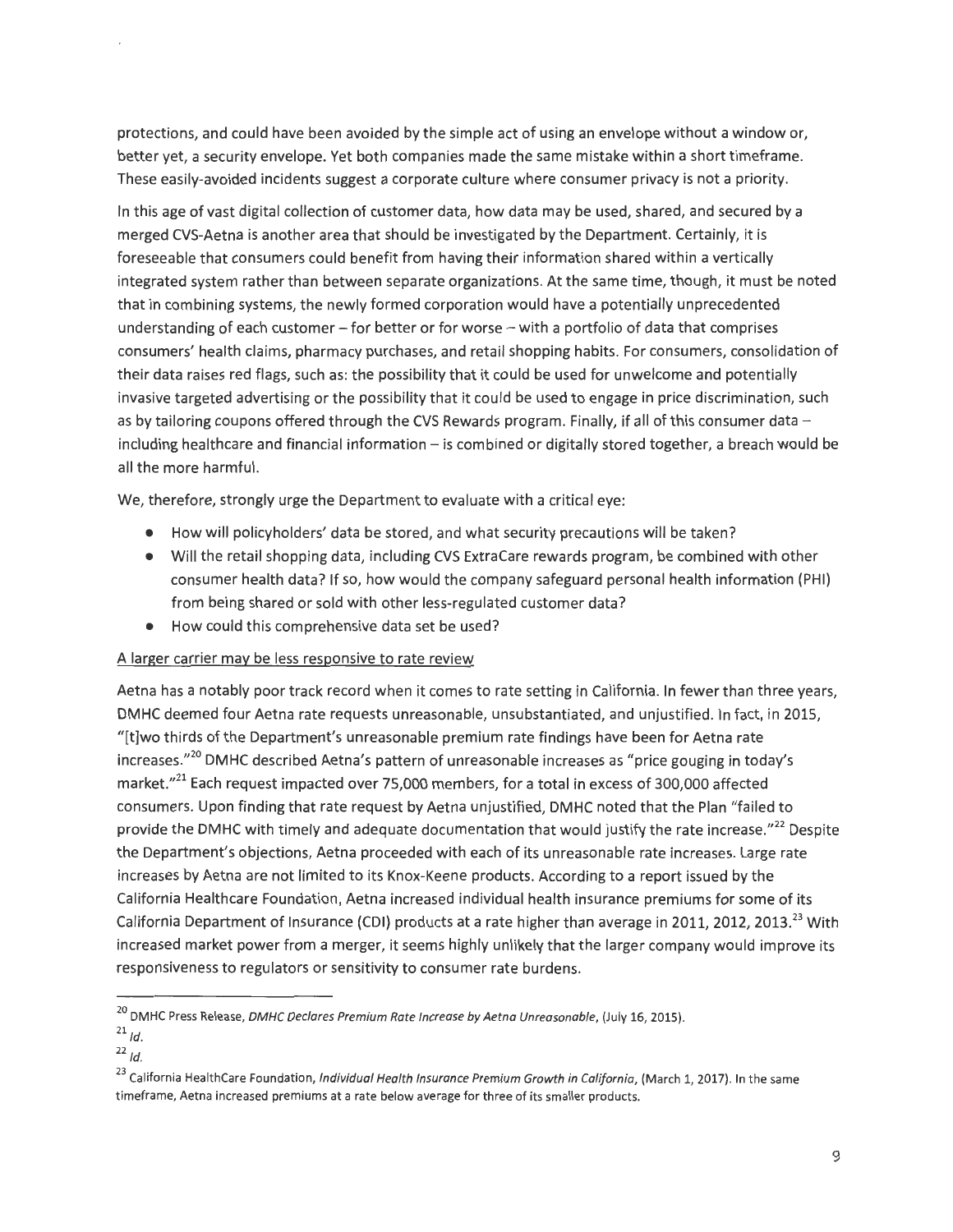protections, and could have been avoided by the simple act of using an envelope without a window or, better yet, a security envelope. Yet both companies made the same mistake within a short timeframe. These easily-avoided incidents suggest a corporate culture where consumer privacy is not a priority.

In this age of vast digital collection of customer data, how data may be used, shared, and secured by a merged CVS-Aetna is another area that should be investigated by the Department. Certainly, it is foreseeable that consumers could benefit from having their information shared within a vertically integrated system rather than between separate organizations. At the same time, though, it must be noted that in combining systems, the newly formed corporation would have a potentially unprecedented understanding of each customer - for better or for worse - with a portfolio of data that comprises consumers' health claims, pharmacy purchases, and retail shopping habits. For consumers, consolidation of their data raises red flags, such as: the possibility that it could be used for unwelcome and potentially invasive targeted advertising or the possibility that it could be used to engage in price discrimination, such as by tailoring coupons offered through the CVS Rewards program. Finally, if all of this consumer data  $$ including healthcare and financial information - is combined or digitally stored together, a breach would be all the more harmful.

We, therefore, strongly urge the Department to evaluate with a critical eye:

- How will policyholders' data be stored, and what security precautions will be taken?
- Will the retail shopping data, including CVS ExtraCare rewards program, be combined with other consumer health data? If so, how would the company safeguard personal health information (PHI) from being shared or sold with other less-regulated customer data?
- How could this comprehensive data set be used?

#### A larger carrier may be less responsive to rate review

Aetna has a notably poor track record when it comes to rate setting in California. In fewer than three years, DMHC deemed four Aetna rate requests unreasonable, unsubstantiated, and unjustified. In fact, in 2015, "[t]wo thirds ofthe Department's unreasonable premium rate findings have been for Aetna rate increases."<sup>20</sup> DMHC described Aetna's pattern of unreasonable increases as "price gouging in today's market."<sup>21</sup> Each request impacted over 75,000 members, for a total in excess of 300,000 affected consumers. Upon finding that rate request by Aetna unjustified, DMHC noted that the Plan "failed to provide the DMHC with timely and adequate documentation that would justify the rate increase."<sup>22</sup> Despite the Department's objections, Aetna proceeded with each of its unreasonable rate increases. Large rate increases by Aetna are not limited to its Knox-Keene products. According to a report issued by the California Healthcare Foundation, Aetna increased individual health insurance premiums for some of its California Department of Insurance (CDI) products at a rate higher than average in 2011, 2012, 2013.<sup>23</sup> With increased market power from a merger, it seems highly unlikely that the larger company would improve its responsiveness to regulators or sensitivity to consumer rate burdens.

<sup>&</sup>lt;sup>20</sup> DMHC Press Release, DMHC Declares Premium Rate Increase by Aetna Unreasonable, (July 16, 2015).

 $^{21}$  Id.

 $22$  Id.

<sup>&</sup>lt;sup>23</sup> California HealthCare Foundation, *Individual Health Insurance Premium Growth in California*, (March 1, 2017). In the same timeframe, Aetna increased premiums at a rate below average for three of its smaller products.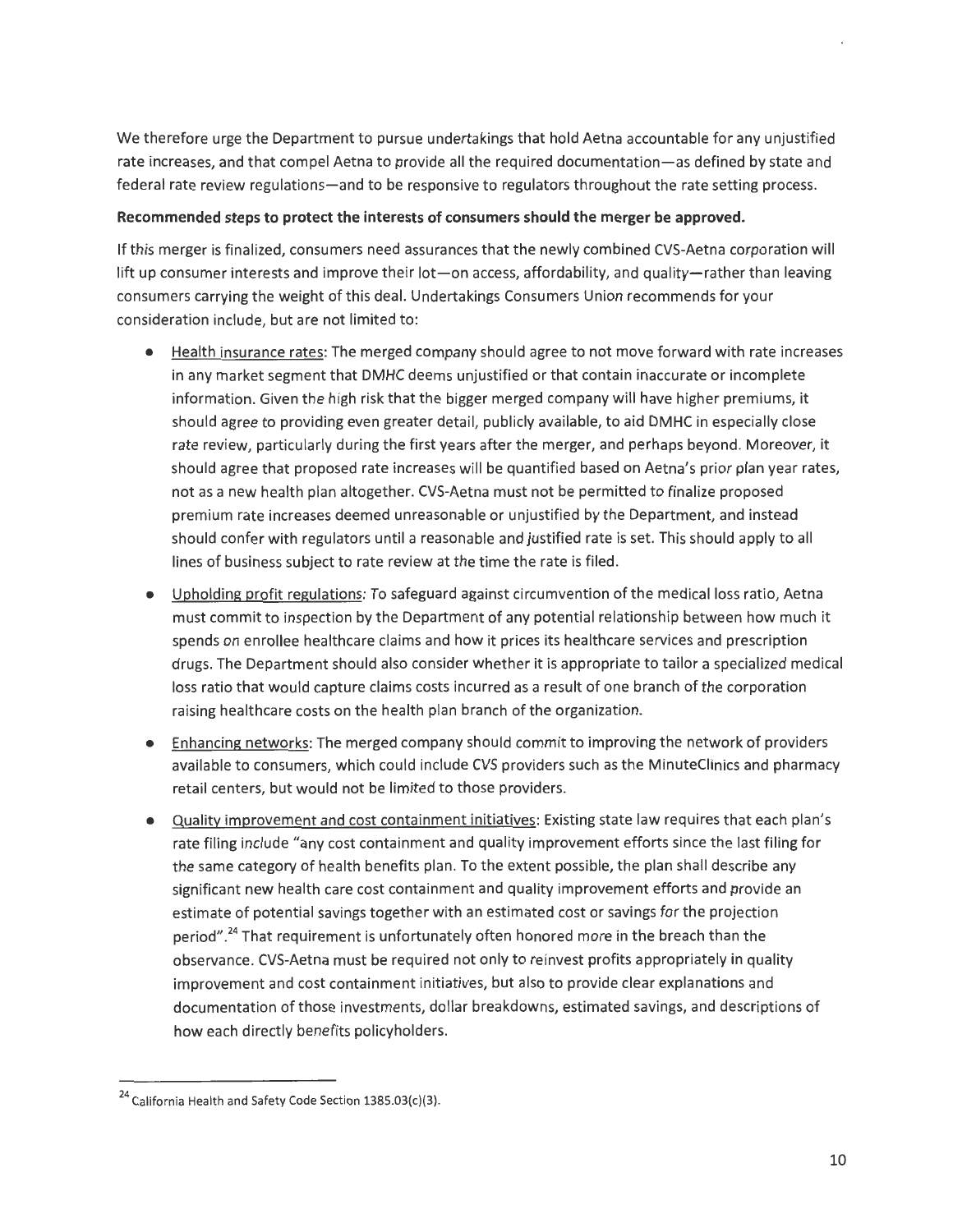We therefore urge the Department to pursue undertakings that hold Aetna accountable for any unjustified rate increases, and that compel Aetna to provide all the required documentation-as defined by state and federal rate review regulations-and to be responsive to regulators throughout the rate setting process.

#### **Recommended steps to protect the interests of consumers should the merger be approved.**

If this merger is finalized, consumers need assurances that the newly combined CVS-Aetna corporation will lift up consumer interests and improve their lot-on access, affordability, and quality-rather than leaving consumers carrying the weight of this deal. Undertakings Consumers Union recommends for your consideration include, but are not limited to:

- Health insurance rates: The merged company should agree to not move forward with rate increases in any market segment that DMHC deems unjustified or that contain inaccurate or incomplete information. Given the high risk that the bigger merged company will have higher premiums, it should agree to providing even greater detail, publicly available, to aid DMHC in especially close rate review, particularly during the first years after the merger, and perhaps beyond. Moreover, it should agree that proposed rate increases will be quantified based on Aetna's prior plan year rates, not as a new health plan altogether. CVS-Aetna must not be permitted to finalize proposed premium rate increases deemed unreasonable or unjustified by the Department, and instead should confer with regulators until a reasonable and justified rate is set. This should apply to all lines of business subject to rate review at the time the rate is filed.
- Upholding profit regulations: To safeguard against circumvention of the medical loss ratio, Aetna must commit to inspection by the Department of any potential relationship between how much it spends on enrollee healthcare claims and how it prices its healthcare services and prescription drugs. The Department should also consider whether it is appropriate to tailor a specialized medical loss ratio that would capture claims costs incurred as a result of one branch of the corporation raising healthcare costs on the health plan branch of the organization.
- Enhancing networks: The merged company should commit to improving the network of providers available to consumers, which could include CVS providers such as the MinuteClinics and pharmacy retail centers, but would not be limited to those providers.
- Quality improvement and cost containment initiatives: Existing state law requires that each plan's rate filing include "any cost containment and quality improvement efforts since the last filing for the same category of health benefits plan. To the extent possible, the plan shall describe any significant new health care cost containment and quality improvement efforts and provide an estimate of potential savings together with an estimated cost or savings for the projection period".<sup>24</sup> That requirement is unfortunately often honored more in the breach than the observance. CVS-Aetna must be required not only to reinvest profits appropriately in quality improvement and cost containment initiatives, but also to provide clear explanations and documentation of those investments, dollar breakdowns, estimated savings, and descriptions of how each directly benefits policyholders.

 $24$  California Health and Safety Code Section 1385.03(c)(3).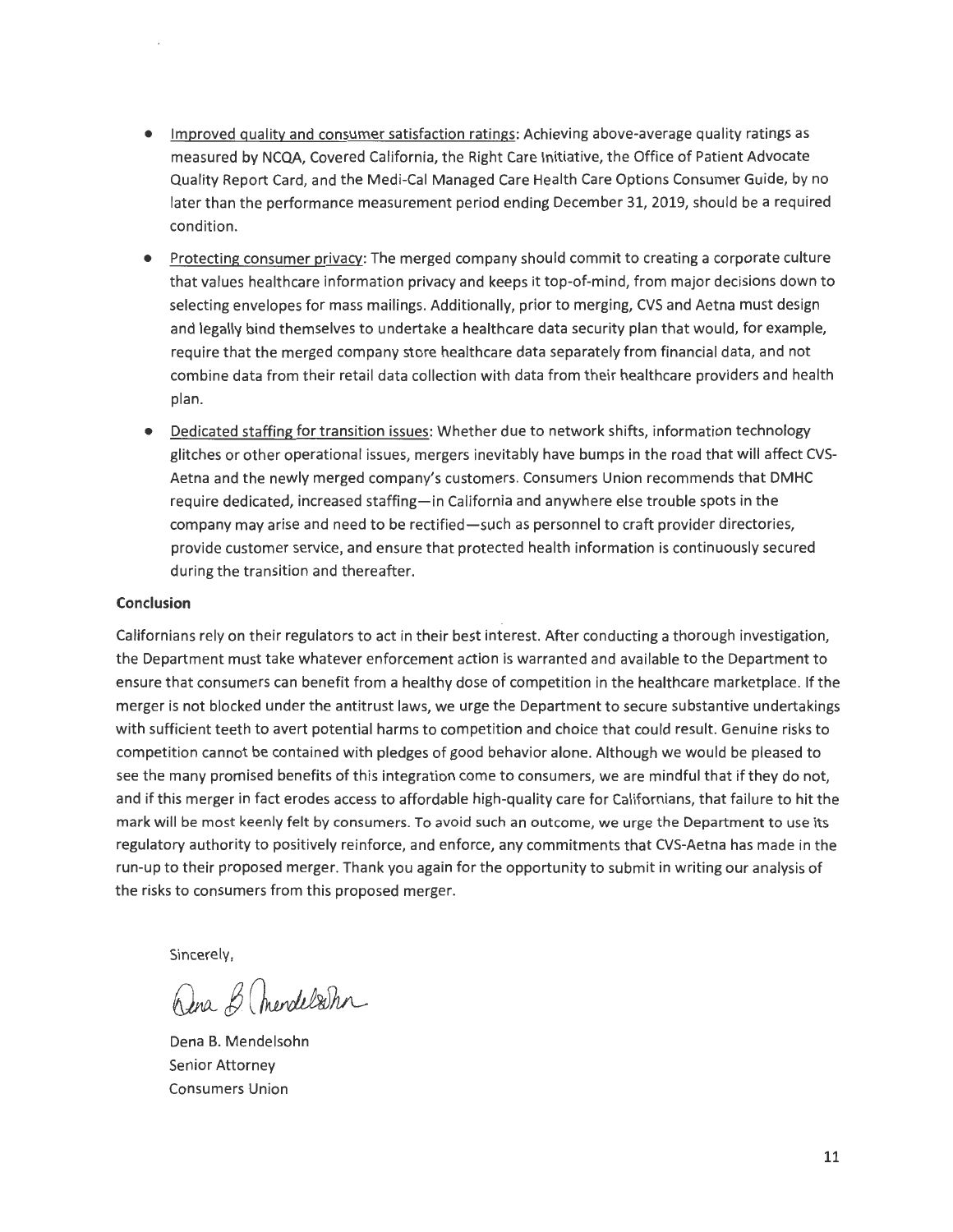- Improved quality and consumer satisfaction ratings: Achieving above-average quality ratings as measured by NCQA, Covered California, the Right Care Initiative, the Office of Patient Advocate Quality Report Card, and the Medi-Cal Managed Care Health Care Options Consumer Guide, by no later than the performance measurement period ending December 31, 2019, should be a required condition.
- Protecting consumer privacy: The merged company should commit to creating a corporate culture that values healthcare information privacy and keeps it top-of-mind, from major decisions down to selecting envelopes for mass mailings. Additionally, prior to merging, CVS and Aetna must design and legally bind themselves to undertake a healthcare data security plan that would, for example, require that the merged company store healthcare data separately from financial data, and not combine data from their retail data collection with data from their healthcare providers and health plan.
- Dedicated staffing for transition issues: Whether due to network shifts, information technology glitches or other operational issues, mergers inevitably have bumps in the road that will affect CVS-Aetna and the newly merged company's customers. Consumers Union recommends that DMHC require dedicated, increased staffing-in California and anywhere else trouble spots in the company may arise and need to be rectified-such as personnel to craft provider directories, provide customer service, and ensure that protected health information is continuously secured during the transition and thereafter.

#### **Conclusion**

Californians rely on their regulators to act in their best interest. After conducting a thorough investigation, the Department must take whatever enforcement action is warranted and available to the Department to ensure that consumers can benefit from a healthy dose of competition in the healthcare marketplace. If the merger is not blocked under the antitrust laws, we urge the Department to secure substantive undertakings with sufficient teeth to avert potential harms to competition and choice that could result. Genuine risks to competition cannot be contained with pledges of good behavior alone. Although we would be pleased to see the many promised benefits of this integration come to consumers, we are mindful that if they do not, and if this merger in fact erodes access to affordable high-quality care for Californians, that failure to hit the mark will be most keenly felt by consumers. To avoid such an outcome, we urge the Department to use its regulatory authority to positively reinforce, and enforce, any commitments that CVS-Aetna has made in the run-up to their proposed merger. Thank you again for the opportunity to submit in writing our analysis of the risks to consumers from this proposed merger.

Sincerely,

Dena B. mendelsohn

Dena B. Mendelsohn Senior Attorney Consumers Union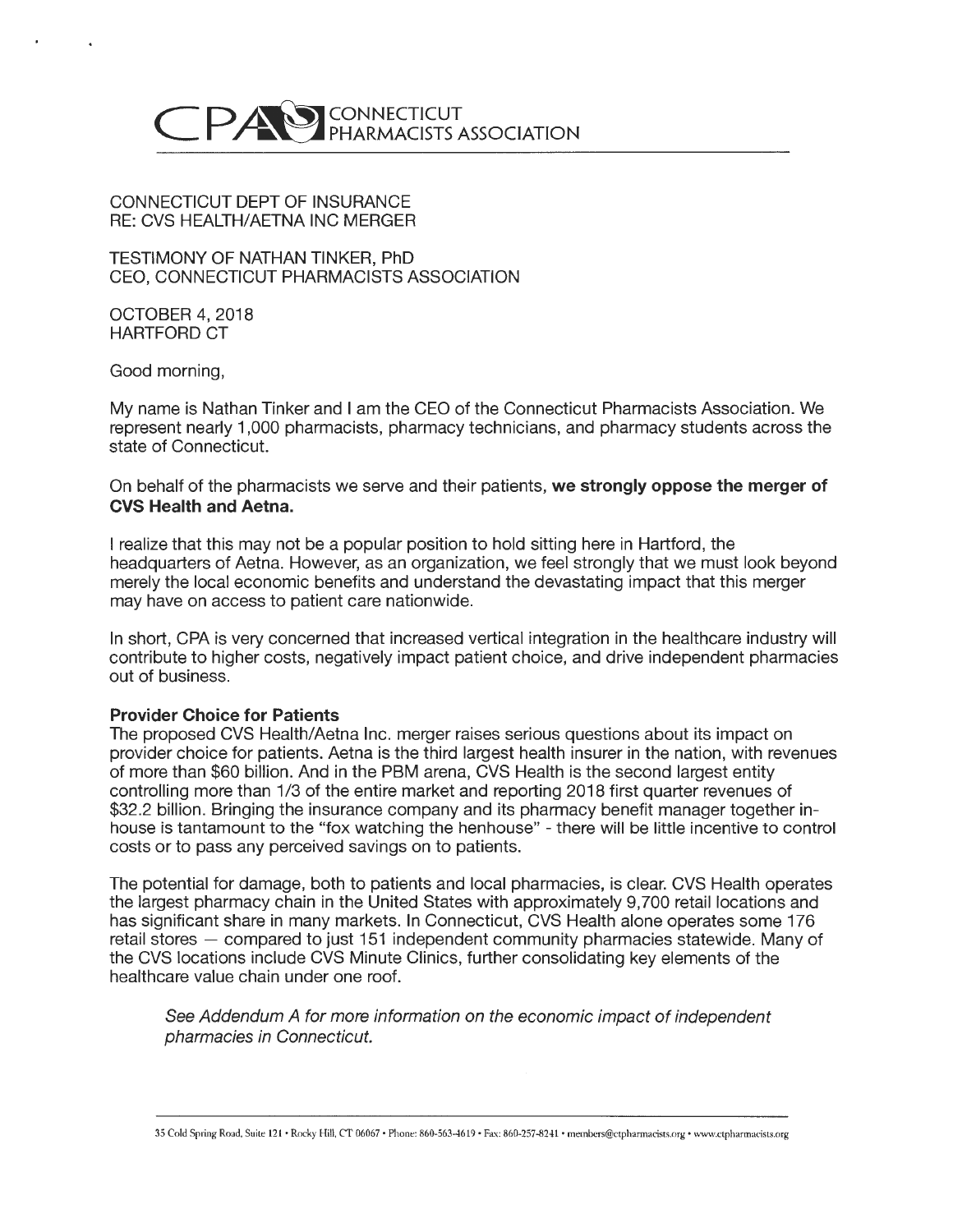

#### CONNECTICUT DEPT OF INSURANCE RE: CVS HEALTH/AETNA INC MERGER

TESTIMONY OF NATHAN TINKER, PhD CEO, CONNECTICUT PHARMACISTS ASSOCIATION

OCTOBER 4, 2018 HARTFORD CT

Good morning,

My name is Nathan Tinker and I am the CEO of the Connecticut Pharmacists Association. We represent nearly 1,000 pharmacists, pharmacy technicians, and pharmacy students across the state of Connecticut.

On behalf of the pharmacists we serve and their patients, **we strongly oppose the merger of CVS Health and Aetna.** 

I realize that this may not be a popular position to hold sitting here in Hartford, the headquarters of Aetna. However, as an organization, we feel strongly that we must look beyond merely the local economic benefits and understand the devastating impact that this merger may have on access to patient care nationwide.

In short, CPA is very concerned that increased vertical integration in the healthcare industry will contribute to higher costs, negatively impact patient choice, and drive independent pharmacies out of business.

#### **Provider Choice for Patients**

The proposed CVS Health/Aetna Inc. merger raises serious questions about its impact on provider choice for patients. Aetna is the third largest health insurer in the nation, with revenues of more than \$60 billion. And in the PBM arena, CVS Health is the second largest entity controlling more than 1/3 of the entire market and reporting 2018 first quarter revenues of \$32.2 billion. Bringing the insurance company and its pharmacy benefit manager together inhouse is tantamount to the "fox watching the henhouse" - there will be little incentive to control costs or to pass any perceived savings on to patients.

The potential for damage, both to patients and local pharmacies, is clear. CVS Health operates the largest pharmacy chain in the United States with approximately 9,700 retail locations and has significant share in many markets. In Connecticut, CVS Health alone operates some 176 retail stores - compared to just 151 independent community pharmacies statewide. Many of the CVS locations include CVS Minute Clinics, further consolidating key elements of the healthcare value chain under one roof.

See Addendum A for more information on the economic impact of independent pharmacies in Connecticut.

35 Cold Spring Road, Suite 121 • Rocky Hill, CT 06067 • Phone: 860-563-4619 • Fax: 860-257-8241 • members@ctphannacists.org • www.ctpharmacists.org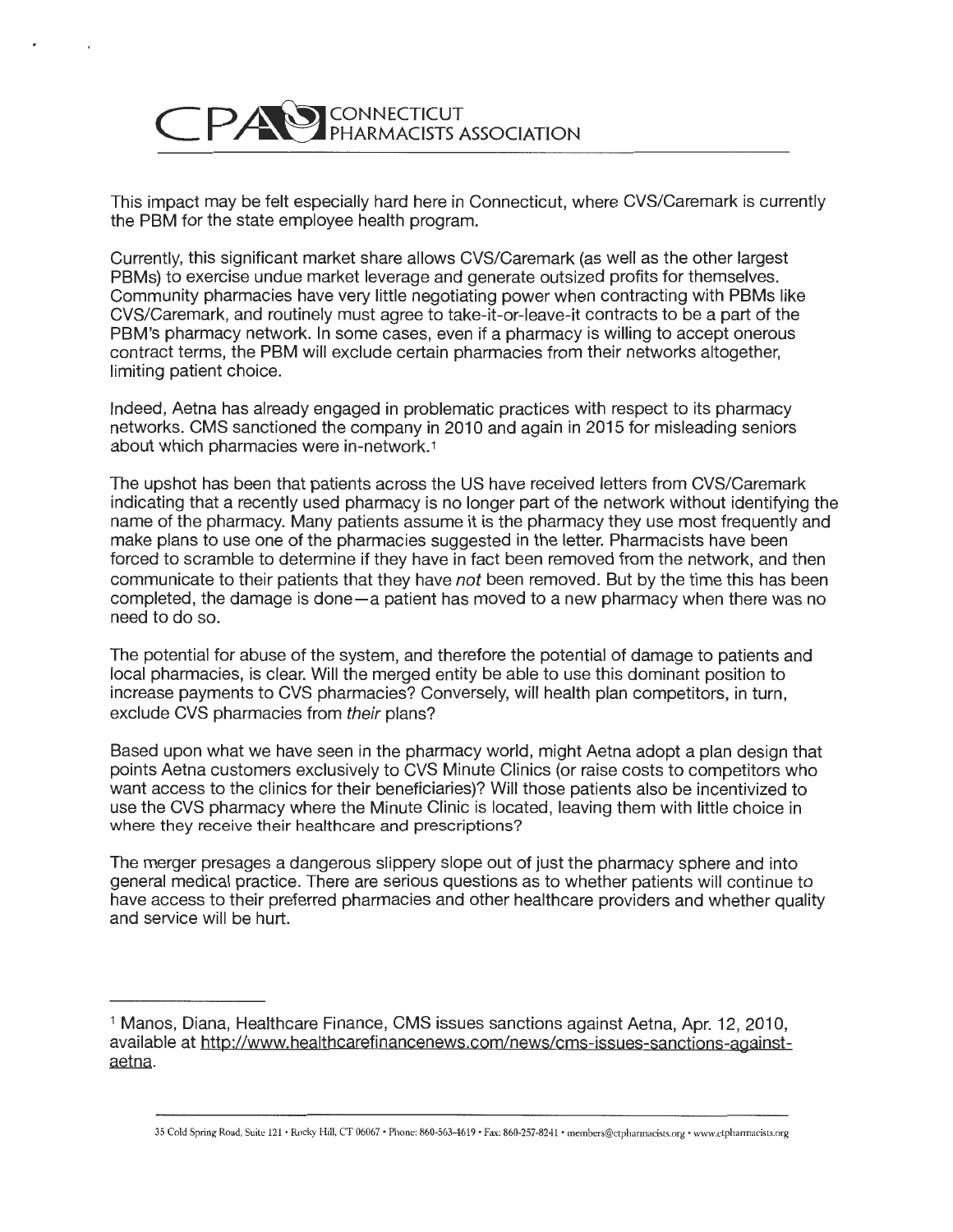

This impact may be felt especially hard here in Connecticut, where CVS/Caremark is currently the PBM for the state employee health program.

Currently, this significant market share allows CVS/Caremark (as well as the other largest PBMs) to exercise undue market leverage and generate outsized profits for themselves. Community pharmacies have very little negotiating power when contracting with PBMs like CVS/Caremark, and routinely must agree to take-it-or-leave-it contracts to be a part of the PBM's pharmacy network. In some cases, even if a pharmacy is willing to accept onerous contract terms, the PBM will exclude certain pharmacies from their networks altogether, limiting patient choice.

Indeed, Aetna has already engaged in problematic practices with respect to its pharmacy networks. CMS sanctioned the company in 2010 and again in 2015 for misleading seniors about which pharmacies were in-network.1

The upshot has been that patients across the US have received letters from CVS/Caremark indicating that a recently used pharmacy is no longer part of the network without identifying the name of the pharmacy. Many patients assume it is the pharmacy they use most frequently and make plans to use one of the pharmacies suggested in the letter. Pharmacists have been forced to scramble to determine if they have in fact been removed from the network, and then communicate to their patients that they have *not* been removed. But by the time this has been completed, the damage is done-a patient has moved to a new pharmacy when there was no need to do so.

The potential for abuse of the system, and therefore the potential of damage to patients and local pharmacies, is clear. Will the merged entity be able to use this dominant position to increase payments to CVS pharmacies? Conversely, will health plan competitors, in turn, exclude CVS pharmacies from their plans?

Based upon what we have seen in the pharmacy world, might Aetna adopt a plan design that points Aetna customers exclusively to CVS Minute Clinics (or raise costs to competitors who want access to the clinics for their beneficiaries)? Will those patients also be incentivized to use the CVS pharmacy where the Minute Clinic is located, leaving them with little choice in where they receive their healthcare and prescriptions?

The merger presages a dangerous slippery slope out of just the pharmacy sphere and into general medical practice. There are serious questions as to whether patients will continue to have access to their preferred pharmacies and other healthcare providers and whether quality and service will be hurt.

35 Cold Spring Road, Suite 121 · Rocky Hill, CT 06067 · Phone: 860-563-4619 · Fax: 860-257-8241 · members@ctpharmacists.org · www.ctpharmacists.org

<sup>&</sup>lt;sup>1</sup> Manos, Diana, Healthcare Finance, CMS issues sanctions against Aetna, Apr. 12, 2010, available at http://www.healthcarefinancenews.com/news/cms-issues-sanctions-againstaetna.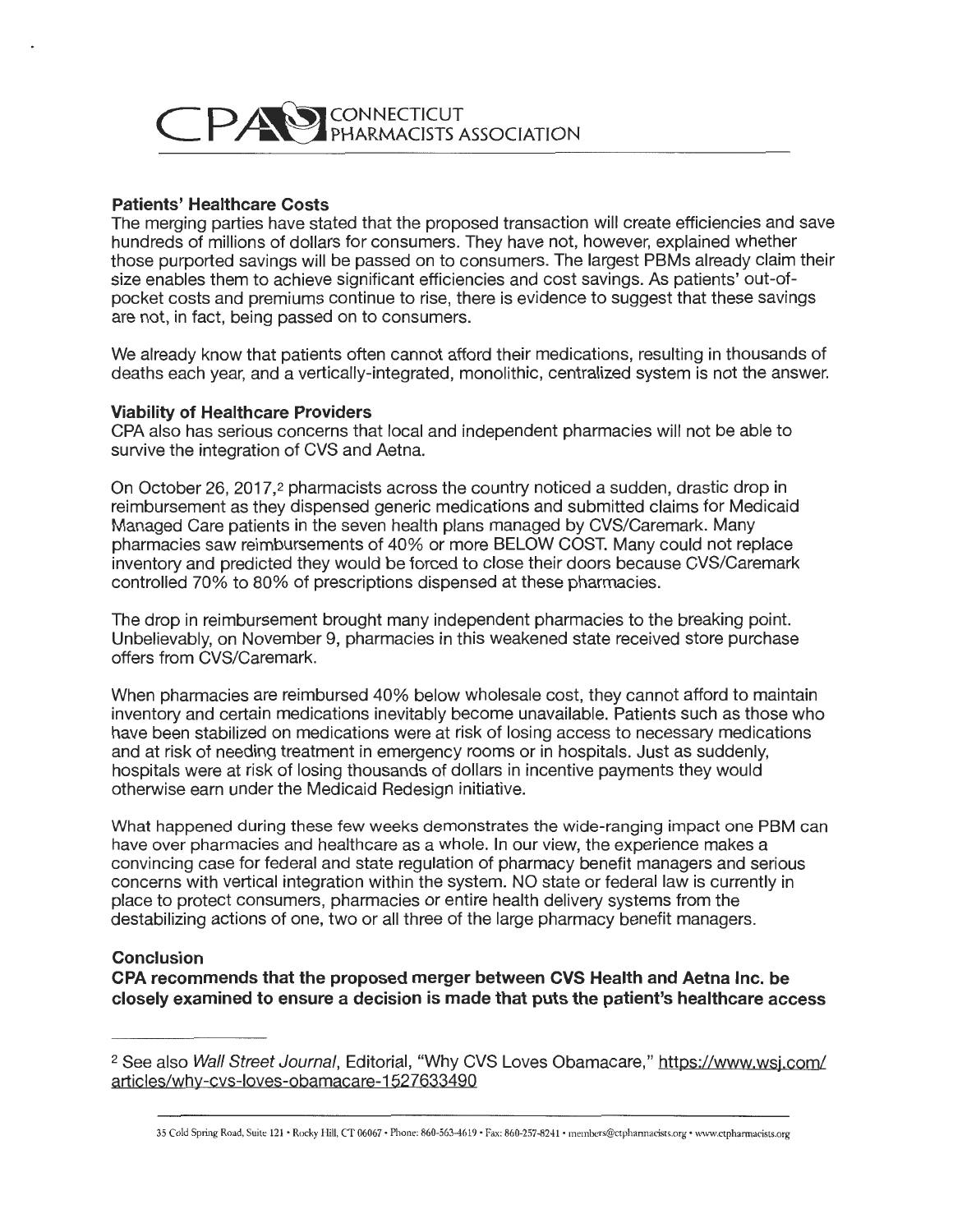

#### **Patients' Healthcare Costs**

The merging parties have stated that the proposed transaction will create efficiencies and save hundreds of millions of dollars for consumers. They have not, however, explained whether those purported savings will be passed on to consumers. The largest PBMs already claim their size enables them to achieve significant efficiencies and cost savings. As patients' out-ofpocket costs and premiums continue to rise, there is evidence to suggest that these savings are not, in fact, being passed on to consumers.

We already know that patients often cannot afford their medications, resulting in thousands of deaths each year, and a vertically-integrated, monolithic, centralized system is not the answer.

#### **Viability of Healthcare Providers**

CPA also has serious concerns that local and independent pharmacies will not be able to survive the integration of CVS and Aetna.

On October 26, 2017,2 pharmacists across the country noticed a sudden, drastic drop in reimbursement as they dispensed generic medications and submitted claims for Medicaid Managed Care patients in the seven health plans managed by CVS/Caremark. Many pharmacies saw reimbursements of 40% or more BELOW COST. Many could not replace inventory and predicted they would be forced to close their doors because CVS/Caremark controlled 70% to 80% of prescriptions dispensed at these pharmacies.

The drop in reimbursement brought many independent pharmacies to the breaking point. Unbelievably, on November 9, pharmacies in this weakened state received store purchase offers from CVS/Caremark.

When pharmacies are reimbursed 40% below wholesale cost, they cannot afford to maintain inventory and certain medications inevitably become unavailable. Patients such as those who have been stabilized on medications were at risk of losing access to necessary medications and at risk of needing treatment in emergency rooms or in hospitals. Just as suddenly, hospitals were at risk of losing thousands of dollars in incentive payments they would otherwise earn under the Medicaid Redesign initiative.

What happened during these few weeks demonstrates the wide-ranging impact one PBM can have over pharmacies and healthcare as a whole. In our view, the experience makes a convincing case for federal and state regulation of pharmacy benefit managers and serious concerns with vertical integration within the system. NO state or federal law is currently in place to protect consumers, pharmacies or entire health delivery systems from the destabilizing actions of one, two or all three of the large pharmacy benefit managers.

#### **Conclusion**

**CPA recommends that the proposed merger between CVS Health and Aetna Inc. be closely examined to ensure a decision is made that puts the patient's healthcare access** 

<sup>&</sup>lt;sup>2</sup> See also Wall Street Journal, Editorial, "Why CVS Loves Obamacare," https://www.wsj.com/ articles/why-cvs-loves-obamacare-1527633490

<sup>35</sup> Cold Spring Road, Suite 121 • Rocky Hill, CT 06067 • Phone: 860-563-4619 • Fax: 860-257-8241 • members@ctphannacists.org • www.ctphannacists.org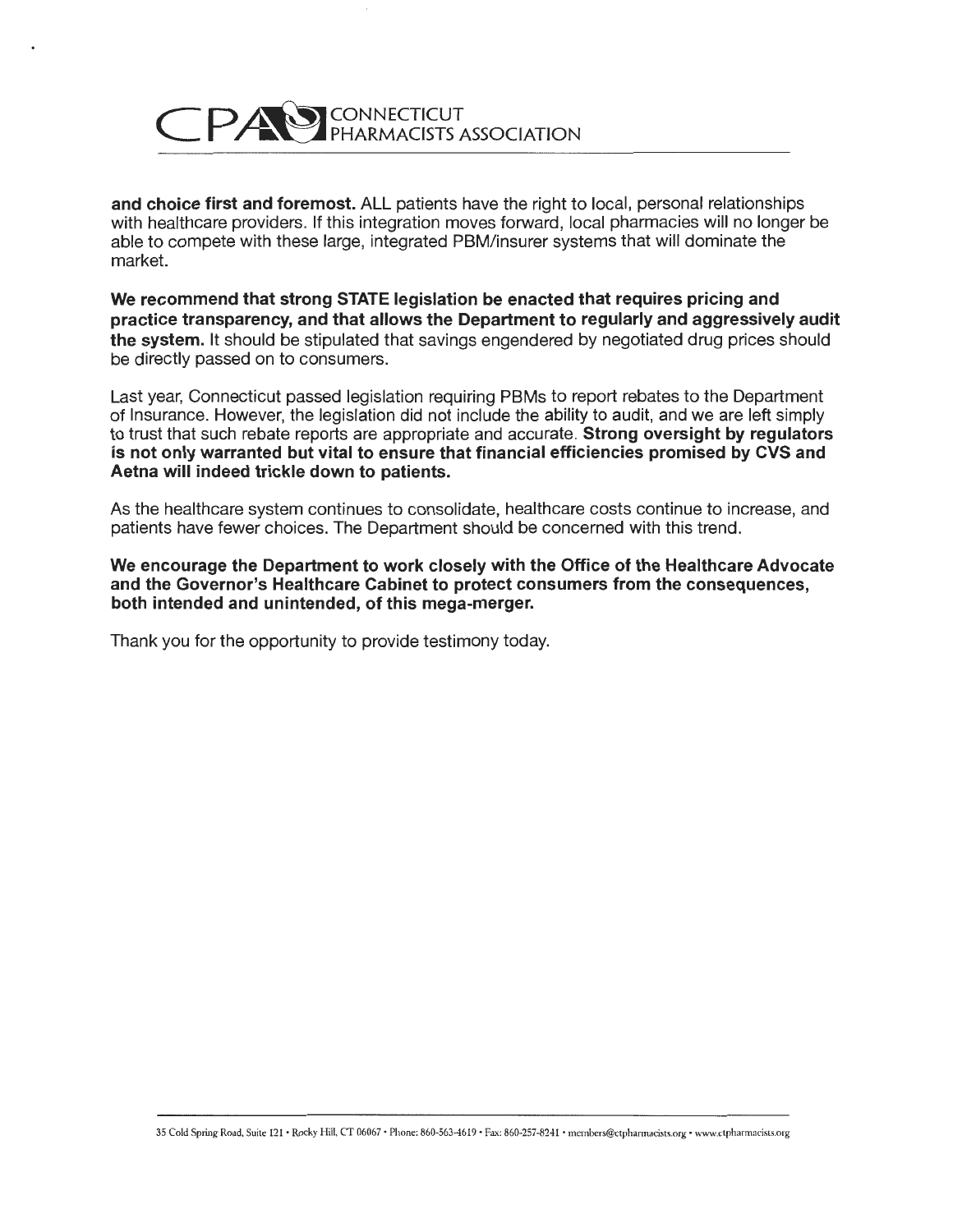

**and choice first and foremost.** ALL patients have the right to local, personal relationships with healthcare providers. If this integration moves forward, local pharmacies will no longer be able to compete with these large, integrated PBM/insurer systems that will dominate the market.

**We recommend that strong STATE legislation be enacted that requires pricing and practice transparency, and that allows the Department to regularly and aggressively audit the system.** It should be stipulated that savings engendered by negotiated drug prices should be directly passed on to consumers.

Last year, Connecticut passed legislation requiring PBMs to report rebates to the Department of Insurance. However, the legislation did not include the ability to audit, and we are left simply to trust that such rebate reports are appropriate and accurate. **Strong oversight by regulators is not only warranted but vital to ensure that financial efficiencies promised by CVS and Aetna will indeed trickle down to patients.** 

As the healthcare system continues to consolidate, healthcare costs continue to increase, and patients have fewer choices. The Department should be concerned with this trend.

**We encourage the Department to work closely with the Office of the Healthcare Advocate and the Governor's Healthcare Cabinet to protect consumers from the consequences, both intended and unintended, of this mega-merger.** 

Thank you for the opportunity to provide testimony today.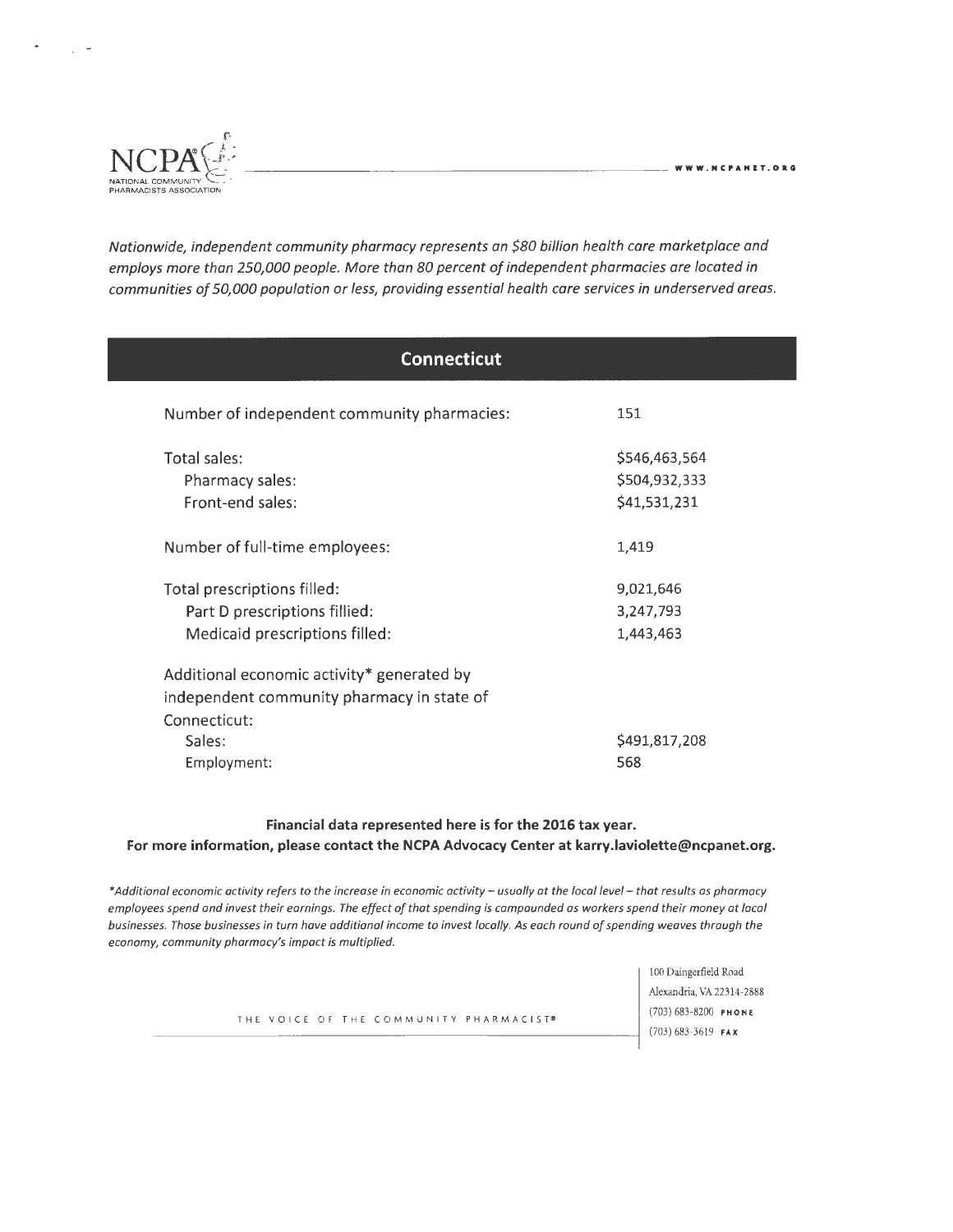

Nationwide, independent community pharmacy represents an \$80 billion health care marketplace and employs more than 250,000 people. More than 80 percent of independent pharmacies are located in communities of 50,000 population or less, providing essential health care services in underserved areas.

| <b>Connecticut</b>                          |               |
|---------------------------------------------|---------------|
| Number of independent community pharmacies: | 151           |
| Total sales:                                | \$546,463,564 |
| Pharmacy sales:                             | \$504,932,333 |
| Front-end sales:                            | \$41,531,231  |
| Number of full-time employees:              | 1,419         |
| Total prescriptions filled:                 | 9,021,646     |
| Part D prescriptions fillied:               | 3,247,793     |
| Medicaid prescriptions filled:              | 1,443,463     |
| Additional economic activity* generated by  |               |
| independent community pharmacy in state of  |               |
| Connecticut:                                |               |
| Sales:                                      | \$491,817,208 |
| Employment:                                 | 568           |

#### **Financial data represented here is for the 2016 tax year. For more information, please contact the NCPA Advocacy Center at karry.laviolette@ncpanet.org.**

\**Additional economic activity refers to the increase in economic activity* - *usually ot the local level* - *that results as pharmacy employees spend and invest their earnings. The effect of that spending is compounded os workers spend their money ot loco/ businesses. Those businesses in tum have additional income to invest locally. As each round ofspending weaves through the economy, community pharmacy's impact is multiplied.* 

THE VOICE OF THE COMMUNITY PHARMACIST<sup>®</sup> (703) 683-8200 PHONE

100 Daingerfield Road Alexandria, VA 22314-2888 (703) 683-3619 **FAX**